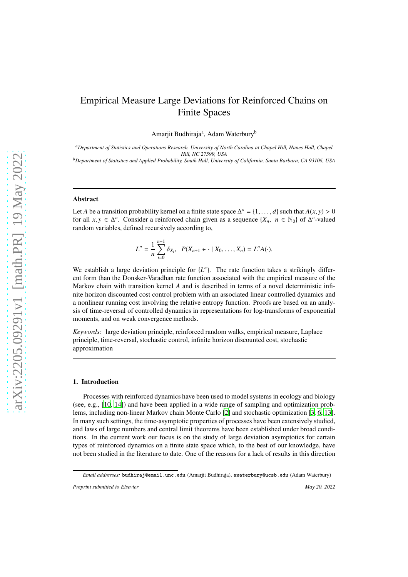# Empirical Measure Large Deviations for Reinforced Chains on Finite Spaces

Amarjit Budhiraja<sup>a</sup>, Adam Waterbury<sup>b</sup>

*<sup>a</sup>Department of Statistics and Operations Research, University of North Carolina at Chapel Hill, Hanes Hall, Chapel Hill, NC 27599, USA*

*<sup>b</sup>Department of Statistics and Applied Probability, South Hall, University of California, Santa Barbara, CA 93106, USA*

## Abstract

Let *A* be a transition probability kernel on a finite state space  $\Delta^o = \{1, \ldots, d\}$  such that  $A(x, y) > 0$ for all  $x, y \in \Delta^o$ . Consider a reinforced chain given as a sequence  $\{X_n, n \in \mathbb{N}_0\}$  of  $\Delta^o$ -valued random variables, defined recursively according to,

$$
L^{n} = \frac{1}{n} \sum_{i=0}^{n-1} \delta_{X_{i}}, \quad P(X_{n+1} \in \cdot \mid X_{0}, \ldots, X_{n}) = L^{n} A(\cdot).
$$

We establish a large deviation principle for  ${L^n}$ . The rate function takes a strikingly different form than the Donsker-Varadhan rate function associated with the empirical measure of the Markov chain with transition kernel *A* and is described in terms of a novel deterministic infinite horizon discounted cost control problem with an associated linear controlled dynamics and a nonlinear running cost involving the relative entropy function. Proofs are based on an analysis of time-reversal of controlled dynamics in representations for log-transforms of exponential moments, and on weak convergence methods.

*Keywords:* large deviation principle, reinforced random walks, empirical measure, Laplace principle, time-reversal, stochastic control, infinite horizon discounted cost, stochastic approximation

#### 1. Introduction

Processes with reinforced dynamics have been used to model systems in ecology and biology (see, e.g., [\[10,](#page-26-0) [14\]](#page-26-1)) and have been applied in a wide range of sampling and optimization problems, including non-linear Markov chain Monte Carlo [\[2\]](#page-26-2) and stochastic optimization [\[3](#page-26-3), [6](#page-26-4), [13](#page-26-5)]. In many such settings, the time-asymptotic properties of processes have been extensively studied, and laws of large numbers and central limit theorems have been established under broad conditions. In the current work our focus is on the study of large deviation asymptotics for certain types of reinforced dynamics on a finite state space which, to the best of our knowledge, have not been studied in the literature to date. One of the reasons for a lack of results in this direction

*Email addresses:* budhiraj@email.unc.edu (Amarjit Budhiraja), awaterbury@ucsb.edu (Adam Waterbury)

*Preprint submitted to Elsevier May 20, 2022*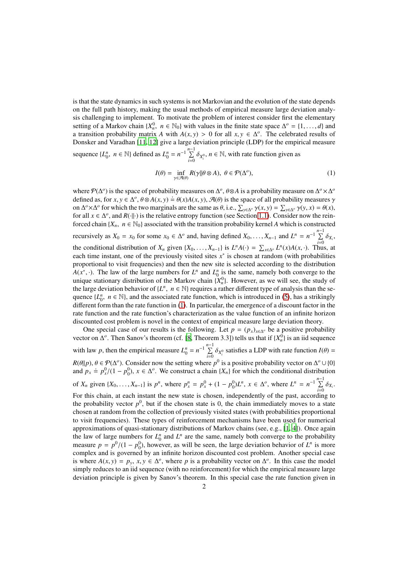is that the state dynamics in such systems is not Markovian and the evolution of the state depends on the full path history, making the usual methods of empirical measure large deviation analysis challenging to implement. To motivate the problem of interest consider first the elementary setting of a Markov chain  $\{X_n^0, n \in \mathbb{N}_0\}$  with values in the finite state space  $\Delta^0 = \{1, ..., d\}$  and a transition probability matrix *A* with  $A(x, y) > 0$  for all  $x, y \in \Delta^o$ . The celebrated results of Donsker and Varadhan [\[11,](#page-26-6) [12\]](#page-26-7) give a large deviation principle (LDP) for the empirical measure sequence  $\{L_0^n, n \in \mathbb{N}\}\)$  defined as  $L_0^n = n^{-1} \sum_{i=0}^{n-1} \delta_{X_i^0}, n \in \mathbb{N}\$ , with rate function given as

<span id="page-1-0"></span>
$$
I(\theta) = \inf_{\gamma \in \mathcal{A}(\theta)} R(\gamma || \theta \otimes A), \ \theta \in \mathcal{P}(\Delta^o), \tag{1}
$$

*where*  $P(\Delta^o)$  is the space of probability measures on  $\Delta^o$ ,  $\theta \otimes A$  is a probability measure on  $\Delta^o \times \Delta^o$ defined as, for  $x, y \in \Delta^o$ ,  $\theta \otimes A(x, y) = \theta(x)A(x, y)$ ,  $\mathcal{A}(\theta)$  is the space of all probability measures  $\gamma$ on  $\Delta^o \times \Delta^o$  for which the two marginals are the same as  $\theta$ , i.e.,  $\sum_{y \in \Delta^o} \gamma(x, y) = \sum_{y \in \Delta^o} \gamma(y, x) = \theta(x)$ , for all  $x \in \Delta^o$ , and  $R(\cdot \| \cdot)$  is the relative entropy function (see Section [1.1\)](#page-2-0). Consider now the reinforced chain  ${X_n, n \in \mathbb{N}_0}$  associated with the transition probability kernel *A* which is constructed recursively as  $X_0 = x_0$  for some  $x_0 \in \Delta^o$  and, having defined  $X_0, \ldots, X_{n-1}$  and  $L^n = n^{-1} \sum_{i=1}^{n-1} \delta_{X_i}$ , the conditional distribution of *X<sub>n</sub>* given {*X*<sub>0</sub>, . . . , *X<sub>n−1</sub>*} is  $L^n A(\cdot) = \sum_{x \in \Delta^n} L^n(x)A(x, \cdot)$ . Thus, at each time instant, one of the previously visited sites  $x^*$  is chosen at random (with probabilities proportional to visit frequencies) and then the new site is selected according to the distribution *A*( $x^*$ , ·). The law of the large numbers for  $L^n$  and  $L_0^n$  is the same, namely both converge to the unique stationary distribution of the Markov chain  $\{X_n^0\}$ . However, as we will see, the study of the large deviation behavior of  $\{L^n, n \in \mathbb{N}\}$  requires a rather different type of analysis than the sequence  $\{L_0^n, n \in \mathbb{N}\}$ , and the associated rate function, which is introduced in [\(5\)](#page-3-0), has a strikingly different form than the rate function in [\(1\)](#page-1-0). In particular, the emergence of a discount factor in the rate function and the rate function's characterization as the value function of an infinite horizon discounted cost problem is novel in the context of empirical measure large deviation theory.

One special case of our results is the following. Let  $p = (p_x)_{x \in \Delta^o}$  be a positive probability vector on  $\Delta^o$ . Then Sanov's theorem (cf. [\[8](#page-26-8), Theorem 3.3]) tells us that if  $\{X_n^0\}$  is an iid sequence with law *p*, then the empirical measure  $L_0^n = n^{-1} \sum_{i=0}^{n-1} \delta_{X_i^0}$  satisfies a LDP with rate function  $I(\theta) =$  $R(\theta||p)$ ,  $\theta \in \mathcal{P}(\Delta^o)$ . Consider now the setting where  $p^0$  is a positive probability vector on  $\Delta^o \cup \{0\}$ and  $p_x \doteq p_x^0/(1-p_0^0)$ ,  $x \in \Delta^o$ . We construct a chain  $\{X_n\}$  for which the conditional distribution of  $X_n$  given  $\{X_0, ..., X_{n-1}\}\$ is  $p^n$ , where  $p_x^n = p_x^0 + (1 - p_0^0)L^n$ ,  $x \in \Delta^o$ , where  $L^n = n^{-1} \sum_{i=0}^{n-1} \delta_{X_i}$ . For this chain, at each instant the new state is chosen, independently of the past, according to the probability vector  $p^0$ , but if the chosen state is 0, the chain immediately moves to a state chosen at random from the collection of previously visited states (with probabilities proportional to visit frequencies). These types of reinforcement mechanisms have been used for numerical approximations of quasi-stationary distributions of Markov chains (see, e.g., [\[1,](#page-26-9) [4\]](#page-26-10)). Once again the law of large numbers for  $L_0^n$  and  $L^n$  are the same, namely both converge to the probability measure  $p = p^0/(1 - p_0^0)$ , however, as will be seen, the large deviation behavior of  $L^n$  is more complex and is governed by an infinite horizon discounted cost problem. Another special case is where  $A(x, y) = p_y, x, y \in \Delta^o$ , where p is a probability vector on  $\Delta^o$ . In this case the model simply reduces to an iid sequence (with no reinforcement) for which the empirical measure large deviation principle is given by Sanov's theorem. In this special case the rate function given in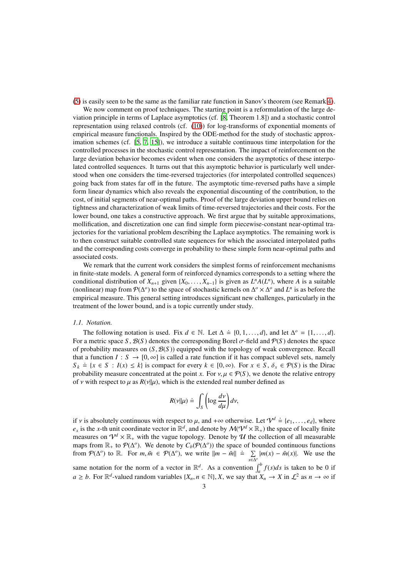[\(5\)](#page-3-0) is easily seen to be the same as the familiar rate function in Sanov's theorem (see Remark [4\)](#page-5-0).

We now comment on proof techniques. The starting point is a reformulation of the large deviation principle in terms of Laplace asymptotics (cf. [\[8,](#page-26-8) Theorem 1.8]) and a stochastic control representation using relaxed controls (cf. [\(10\)](#page-6-0)) for log-transforms of exponential moments of empirical measure functionals. Inspired by the ODE-method for the study of stochastic approximation schemes (cf. [\[5,](#page-26-11) [7,](#page-26-12) [15](#page-26-13)]), we introduce a suitable continuous time interpolation for the controlled processes in the stochastic control representation. The impact of reinforcement on the large deviation behavior becomes evident when one considers the asymptotics of these interpolated controlled sequences. It turns out that this asymptotic behavior is particularly well understood when one considers the time-reversed trajectories (for interpolated controlled sequences) going back from states far off in the future. The asymptotic time-reversed paths have a simple form linear dynamics which also reveals the exponential discounting of the contribution, to the cost, of initial segments of near-optimal paths. Proof of the large deviation upper bound relies on tightness and characterization of weak limits of time-reversed trajectories and their costs. For the lower bound, one takes a constructive approach. We first argue that by suitable approximations, mollification, and discretization one can find simple form piecewise-constant near-optimal trajectories for the variational problem describing the Laplace asymptotics. The remaining work is to then construct suitable controlled state sequences for which the associated interpolated paths and the corresponding costs converge in probability to these simple form near-optimal paths and associated costs.

We remark that the current work considers the simplest forms of reinforcement mechanisms in finite-state models. A general form of reinforced dynamics corresponds to a setting where the conditional distribution of  $X_{n+1}$  given  $\{X_0, \ldots, X_{n-1}\}$  is given as  $L^n A(L^n)$ , where *A* is a suitable (nonlinear) map from  $\mathcal{P}(\Delta^o)$  to the space of stochastic kernels on  $\Delta^o \times \Delta^o$  and  $L^n$  is as before the empirical measure. This general setting introduces significant new challenges, particularly in the treatment of the lower bound, and is a topic currently under study.

#### <span id="page-2-0"></span>*1.1. Notation.*

The following notation is used. Fix  $d \in \mathbb{N}$ . Let  $\Delta \doteq \{0, 1, ..., d\}$ , and let  $\Delta^o = \{1, ..., d\}$ . For a metric space *S*,  $\mathcal{B}(S)$  denotes the corresponding Borel  $\sigma$ -field and  $\mathcal{P}(S)$  denotes the space of probability measures on  $(S, \mathcal{B}(S))$  equipped with the topology of weak convergence. Recall that a function  $I: S \to [0, \infty]$  is called a rate function if it has compact sublevel sets, namely  $S_k = \{x \in S : I(x) \le k\}$  is compact for every  $k \in [0, \infty)$ . For  $x \in S$ ,  $\delta_x \in \mathcal{P}(S)$  is the Dirac probability measure concentrated at the point *x*. For  $v, \mu \in \mathcal{P}(S)$ , we denote the relative entropy of *v* with respect to  $\mu$  as  $R(v||\mu)$ , which is the extended real number defined as

$$
R(v||\mu) \doteq \int_{S} \left( \log \frac{dv}{d\mu} \right) dv,
$$

if v is absolutely continuous with respect to  $\mu$ , and  $+\infty$  otherwise. Let  $\mathcal{V}^d \doteq \{e_1, \ldots, e_d\}$ , where  $e_x$  is the *x*-th unit coordinate vector in  $\mathbb{R}^d$ , and denote by  $\mathcal{M}(\mathcal{V}^d \times \mathbb{R}_+)$  the space of locally finite measures on  $\mathcal{V}^d \times \mathbb{R}_+$  with the vague topology. Denote by  $\mathcal U$  the collection of all measurable maps from  $\mathbb{R}_+$  to  $\mathcal{P}(\Delta^o)$ . We denote by  $C_b(\mathcal{P}(\Delta^o))$  the space of bounded continuous functions from  $\mathcal{P}(\Delta^o)$  to R. For  $m, \tilde{m} \in \mathcal{P}(\Delta^o)$ , we write  $\|m - \tilde{m}\| = \sum_{x \in \Delta^o} |m(x) - \tilde{m}(x)|$ . We use the

same notation for the norm of a vector in  $\mathbb{R}^d$ . As a convention  $\int_a^b f(s)ds$  is taken to be 0 if  $a \geq b$ . For  $\mathbb{R}^d$ -valued random variables  $\{X_n, n \in \mathbb{N}\}\$ , *X*, we say that  $X_n \to X$  in  $\mathcal{L}^2$  as  $n \to \infty$  if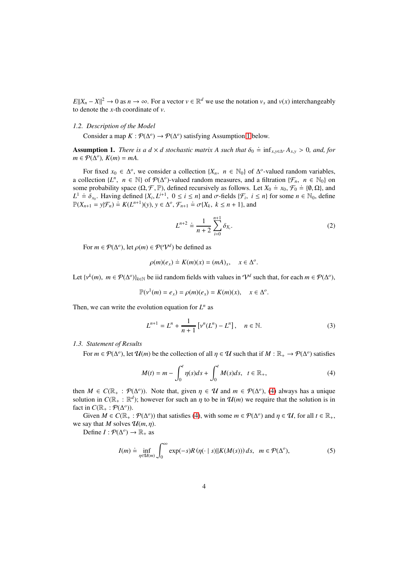$E\|X_n - X\|^2 \to 0$  as  $n \to \infty$ . For a vector  $v \in \mathbb{R}^d$  we use the notation  $v_x$  and  $v(x)$  interchangeably to denote the *x*-th coordinate of *v*.

#### *1.2. Description of the Model*

Consider a map  $K : \mathcal{P}(\Delta^o) \to \mathcal{P}(\Delta^o)$  satisfying Assumption [1](#page-3-1) below.

<span id="page-3-1"></span>Assumption 1. *There is a d*  $\times$  *d stochastic matrix A such that*  $\delta_0 \doteq \inf_{x,y \in \Delta^o} A_{x,y} > 0$ *, and, for*  $m \in \mathcal{P}(\Delta^o)$ ,  $K(m) = mA$ .

For fixed  $x_0 \in \Delta^o$ , we consider a collection  $\{X_n, n \in \mathbb{N}_0\}$  of  $\Delta^o$ -valued random variables, a collection  $\{L^n, n \in \mathbb{N}\}\$  of  $\mathcal{P}(\Delta^o)$ -valued random measures, and a filtration  $\{\mathcal{F}_n, n \in \mathbb{N}_0\}$  on some probability space  $(Ω, F, ℤ)$ , defined recursively as follows. Let  $X_0 \doteq x_0$ ,  $F_0 \doteq (θ, Ω)$ , and some probability space  $(Ω, F, ℤ)$ , defined recursively as follows. Let  $X_0 \doteq x_0$ ,  $F_0 \doteq (θ, Ω)$ , and  $L^1 \doteq \delta_{x_0}$ . Having defined  $\{X_i, L^{i+1}, 0 \le i \le n\}$  and  $\sigma$ -fields  $\{\mathcal{F}_i, i \le n\}$  for some  $n \in \mathbb{N}_0$ , define  $\mathbb{P}(X \to \mathbb{R}^{C}) \doteq \mathbb{R}^{C}$ .  $\mathbb{R}^{C}$  and  $\sigma$ -fields  $\{\mathcal{F}_i, i \le n\}$  for some  $n \in \mathbb{N}_$  $\mathbb{P}(X_{n+1} = y | \mathcal{F}_n) \doteq K(L^{n+1})(y), y \in \Delta^o, \mathcal{F}_{n+1} \doteq \sigma\{X_k, k \leq n+1\},\$ and

$$
L^{n+2} \doteq \frac{1}{n+2} \sum_{i=0}^{n+1} \delta_{X_i}.
$$
 (2)

For  $m \in \mathcal{P}(\Delta^o)$ , let  $\rho(m) \in \mathcal{P}(\mathcal{V}^d)$  be defined as

$$
\rho(m)(e_x) \doteq K(m)(x) = (mA)_x, \quad x \in \Delta^o.
$$

Let  $\{v^k(m), m \in \mathcal{P}(\Delta^o)\}_{k \in \mathbb{N}}$  be iid random fields with values in  $\mathcal{V}^d$  such that, for each  $m \in \mathcal{P}(\Delta^o)$ ,

$$
\mathbb{P}(v^1(m) = e_x) = \rho(m)(e_x) = K(m)(x), \quad x \in \Delta^o.
$$

Then, we can write the evolution equation for  $L^n$  as

<span id="page-3-2"></span>
$$
L^{n+1} = L^n + \frac{1}{n+1} \left[ \nu^n(L^n) - L^n \right], \quad n \in \mathbb{N}.
$$
 (3)

#### *1.3. Statement of Results*

For  $m \in \mathcal{P}(\Delta^o)$ , let  $\mathcal{U}(m)$  be the collection of all  $\eta \in \mathcal{U}$  such that if  $M : \mathbb{R}_+ \to \mathcal{P}(\Delta^o)$  satisfies

$$
M(t) = m - \int_0^t \eta(s)ds + \int_0^t M(s)ds, \ \ t \in \mathbb{R}_+, \tag{4}
$$

then  $M \in C(\mathbb{R}_+ : \mathcal{P}(\Delta^o))$ . Note that, given  $\eta \in \mathcal{U}$  and  $m \in \mathcal{P}(\Delta^o)$ , [\(4\)](#page-3-2) always has a unique solution in  $C(\mathbb{R}_+ : \mathbb{R}^d)$ ; however for such an  $\eta$  to be in  $\mathcal{U}(m)$  we require that the solution is in fact in  $C(\mathbb{R}_+ : \mathcal{P}(\Delta^o))$ .

Given  $M \in C(\mathbb{R}_+ : \mathcal{P}(\Delta^o))$  that satisfies [\(4\)](#page-3-2), with some  $m \in \mathcal{P}(\Delta^o)$  and  $\eta \in \mathcal{U}$ , for all  $t \in \mathbb{R}_+$ , we say that *M* solves  $\mathcal{U}(m, \eta)$ .

Define  $I: \mathcal{P}(\Delta^o) \to \mathbb{R}_+$  as

<span id="page-3-0"></span>
$$
I(m) \doteq \inf_{\eta \in \mathcal{U}(m)} \int_0^\infty \exp(-s) R(\eta(\cdot \mid s) \| K(M(s))) ds, \quad m \in \mathcal{P}(\Delta^o),
$$
 (5)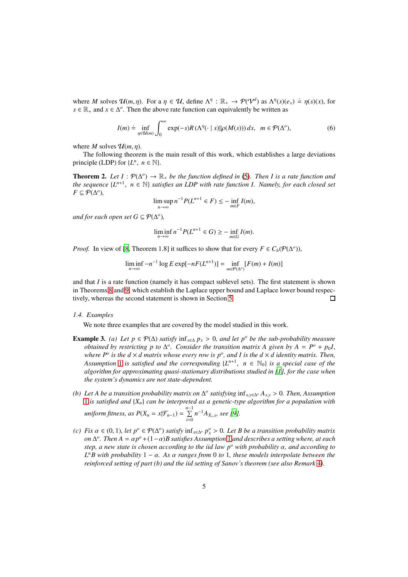where *M* solves  $\mathcal{U}(m, \eta)$ . For a  $\eta \in \mathcal{U}$ , define  $\Lambda^{\eta}: \mathbb{R}_+ \to \mathcal{P}(\mathcal{V}^d)$  as  $\Lambda^{\eta}(s)(e_x) \doteq \eta(s)(x)$ , for *s* ∈  $\mathbb{R}_+$  and *x* ∈  $\Delta$ <sup>*o*</sup>. Then the above rate function can equivalently be written as

$$
I(m) \doteq \inf_{\eta \in \mathcal{U}(m)} \int_0^\infty \exp(-s) R\left(\Lambda^\eta(\cdot \mid s) || \rho(M(s))\right) ds, \quad m \in \mathcal{P}(\Delta^o),\tag{6}
$$

where *M* solves  $\mathcal{U}(m, \eta)$ .

The following theorem is the main result of this work, which establishes a large deviations principle (LDP) for  $\{L^n, n \in \mathbb{N}\}.$ 

**Theorem 2.** Let  $I: \mathcal{P}(\Delta^o) \to \mathbb{R}_+$  be the function defined in [\(5\)](#page-3-0). Then I is a rate function and *the sequence*  $\{L^{n+1}, n \in \mathbb{N}\}$  *satisfies an LDP with rate function I. Namely, for each closed set*  $F \subseteq \overline{\mathcal{P}}(\Delta^o)$ ,

<span id="page-4-0"></span>
$$
\limsup_{n\to\infty} n^{-1}P(L^{n+1}\in F) \leq -\inf_{m\in F} I(m),
$$

and for each open set  $G \subseteq \mathcal{P}(\Delta^o)$ ,

$$
\liminf_{n \to \infty} n^{-1} P(L^{n+1} \in G) \ge - \inf_{m \in G} I(m).
$$

*Proof.* In view of [\[8,](#page-26-8) Theorem 1.8] it suffices to show that for every  $F \in C_b(\mathcal{P}(\Delta^o))$ ,

$$
\liminf_{n \to \infty} -n^{-1} \log E \exp[-nF(L^{n+1})] = \inf_{m \in \mathcal{P}(\Delta^o)} [F(m) + I(m)]
$$

and that  $I$  is a rate function (namely it has compact sublevel sets). The first statement is shown in Theorems [8](#page-11-0) and [9,](#page-12-0) which establish the Laplace upper bound and Laplace lower bound respectively, whereas the second statement is shown in Section [5.](#page-24-0)  $\Box$ 

#### *1.4. Examples*

We note three examples that are covered by the model studied in this work.

- **Example 3.** *(a) Let p* ∈  $\mathcal{P}(\Delta)$  *satisfy*  $\inf_{x \in \Delta} p_x > 0$ *, and let p<sup>o</sup> be the sub-probability measure obtained by restricting p to*  $\Delta^o$ *. Consider the transition matrix A given by*  $A = P^o + p_0 I$ , *where P<sup>o</sup> is the d*  $\times$  *d* matrix whose every row is  $p^o$ , and I is the d  $\times$  *d* identity matrix. Then, Assumption [1](#page-3-1) *is satisfied and the corresponding*  $\{L^{n+1}, n \in \mathbb{N}_0\}$  *is a special case of the algorithm for approximating quasi-stationary distributions studied in [\[1](#page-26-9)], for the case when the system's dynamics are not state-dependent.*
- (b) Let A be a transition probability matrix on  $\Delta^o$  satisfying  $\inf_{x,y \in \Delta^o} A_{x,y} > 0$ . Then, Assumption [1](#page-3-1) *is satisfied and* {*Xn*} *can be interpreted as a genetic-type algorithm for a population with*  $uniform \text{ fitness, as } P(X_n = x | \mathcal{F}_{n-1}) = \sum_{i=0}^{n-1} n^{-1} A_{X_i, x}, \text{ see [9].}$  $uniform \text{ fitness, as } P(X_n = x | \mathcal{F}_{n-1}) = \sum_{i=0}^{n-1} n^{-1} A_{X_i, x}, \text{ see [9].}$  $uniform \text{ fitness, as } P(X_n = x | \mathcal{F}_{n-1}) = \sum_{i=0}^{n-1} n^{-1} A_{X_i, x}, \text{ see [9].}$
- *(c) Fix*  $\alpha$  ∈ (0, 1), let  $p^o$  ∈  $\mathcal{P}(\Delta^o)$  *satisfy* inf<sub>*x*∈∆<sup>*o*</sup>  $p_x^o$  > 0. Let *B* be a transition probability matrix</sub> *on*  $\Delta^o$ . Then  $A = \alpha p^o + (1 - \alpha)B$  $A = \alpha p^o + (1 - \alpha)B$  $A = \alpha p^o + (1 - \alpha)B$  satisfies Assumption 1 and describes a setting where, at each *step, a new state is chosen according to the iid law p<sup>o</sup> with probability* α*, and according to L <sup>n</sup>B with probability* 1 − α*. As* α *ranges from* 0 *to* 1*, these models interpolate between the reinforced setting of part (b) and the iid setting of Sanov's theorem (see also Remark* [4](#page-5-0)*).*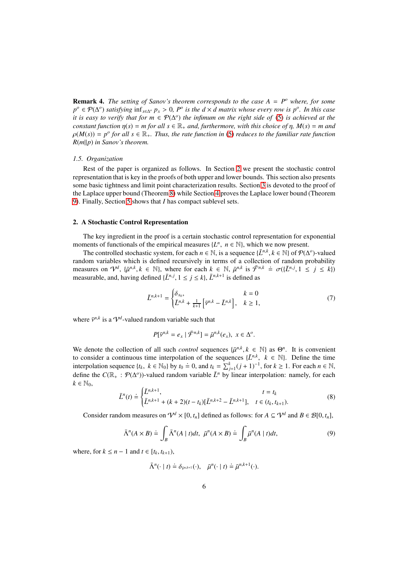<span id="page-5-0"></span>**Remark 4.** *The setting of Sanov's theorem corresponds to the case*  $A = P^o$  *where, for some*  $p^o$  ∈  $\mathcal{P}(\Delta^o)$  *satisfying*  $\inf_{x \in \Delta^o} p_x > 0$ ,  $P^o$  *is the d* × *d matrix whose every row is*  $p^o$ *. In this case it is easy to verify that for m* ∈ P(∆ *o* ) *the infimum on the right side of* [\(5\)](#page-3-0) *is achieved at the constant function*  $\eta(s) = m$  *for all*  $s \in \mathbb{R}_+$  *and, furthermore, with this choice of*  $\eta$ *,*  $M(s) = m$  *and*  $\rho(M(s)) = p^o$  for all  $s \in \mathbb{R}_+$ . Thus, the rate function in [\(5\)](#page-3-0) reduces to the familiar rate function *R*(*m*k*p*) *in Sanov's theorem.*

#### *1.5. Organization*

Rest of the paper is organized as follows. In Section [2](#page-5-1) we present the stochastic control representation that is key in the proofs of both upper and lower bounds. This section also presents some basic tightness and limit point characterization results. Section [3](#page-11-1) is devoted to the proof of the Laplace upper bound (Theorem [8\)](#page-11-0) while Section [4](#page-12-1) proves the Laplace lower bound (Theorem [9\)](#page-12-0). Finally, Section [5](#page-24-0) shows that *I* has compact sublevel sets.

#### <span id="page-5-1"></span>2. A Stochastic Control Representation

The key ingredient in the proof is a certain stochastic control representation for exponential moments of functionals of the empirical measures  $\{L^n, n \in \mathbb{N}\}$ , which we now present.

The controlled stochastic system, for each  $n \in \mathbb{N}$ , is a sequence  $\{\bar{L}^{n,k}, k \in \mathbb{N}\}$  of  $\mathcal{P}(\Delta^o)$ -valued random variables which is defined recursively in terms of a collection of random probability measures on  $\mathcal{V}^d$ ,  $\{\bar{\mu}^{n,k}, k \in \mathbb{N}\}\)$ , where for each  $k \in \mathbb{N}$ ,  $\bar{\mu}^{n,k}$  is  $\bar{\mathcal{F}}^{n,k} \doteq \sigma(\{\bar{L}^{n,j}, 1 \leq j \leq k\})$ measurable, and, having defined  $\{L^{n,j}, 1 \le j \le k\}$ ,  $\bar{L}^{n,k+1}$  is defined as

<span id="page-5-4"></span>
$$
\bar{L}^{n,k+1} = \begin{cases} \delta_{x_0}, & k = 0\\ \bar{L}^{n,k} + \frac{1}{k+1} \left[ \bar{v}^{n,k} - \bar{L}^{n,k} \right], & k \ge 1, \end{cases}
$$
(7)

where  $\bar{v}^{n,k}$  is a  $V^d$ -valued random variable such that

$$
P[\bar{v}^{n,k}=e_x\mid \bar{\mathcal{F}}^{n,k}]=\bar{\mu}^{n,k}(e_x),\ x\in\Delta^o.
$$

We denote the collection of all such *control* sequences  $\{\bar{\mu}^{n,k}, k \in \mathbb{N}\}\$  as  $\Theta^n$ . It is convenient to consider a continuous time interpolation of the sequences  $\{\bar{L}^{n,k}, k \in \mathbb{N}\}\$ . Define the time interpolation sequence  $\{t_k, k \in \mathbb{N}_0\}$  by  $t_0 \doteq 0$ , and  $t_k = \sum_{j=1}^k (j+1)^{-1}$ , for  $k \ge 1$ . For each  $n \in \mathbb{N}$ , define the  $C(\mathbb{R}_+ : \mathcal{P}(\Delta^o))$ -valued random variable  $\overline{L}^n$  by linear interpolation: namely, for each  $k \in \mathbb{N}_0$ ,

<span id="page-5-2"></span>
$$
\bar{L}^{n}(t) \stackrel{\cdot}{=} \begin{cases} \bar{L}^{n,k+1}, & t = t_k \\ \bar{L}^{n,k+1} + (k+2)(t-t_k)[\bar{L}^{n,k+2} - \bar{L}^{n,k+1}], & t \in (t_k, t_{k+1}). \end{cases}
$$
(8)

Consider random measures on  $\mathcal{V}^d \times [0, t_n]$  defined as follows: for  $A \subseteq \mathcal{V}^d$  and  $B \in \mathcal{B}[0, t_n]$ ,

$$
\bar{\Lambda}^n(A \times B) \doteq \int_B \bar{\Lambda}^n(A \mid t)dt, \ \bar{\mu}^n(A \times B) \doteq \int_B \bar{\mu}^n(A \mid t)dt,\tag{9}
$$

where, for  $k \leq n-1$  and  $t \in [t_k, t_{k+1})$ ,

<span id="page-5-3"></span>
$$
\bar{\Lambda}^n(\cdot \mid t) \doteq \delta_{\bar{v}^{n,k+1}}(\cdot), \quad \bar{\mu}^n(\cdot \mid t) \doteq \bar{\mu}^{n,k+1}(\cdot).
$$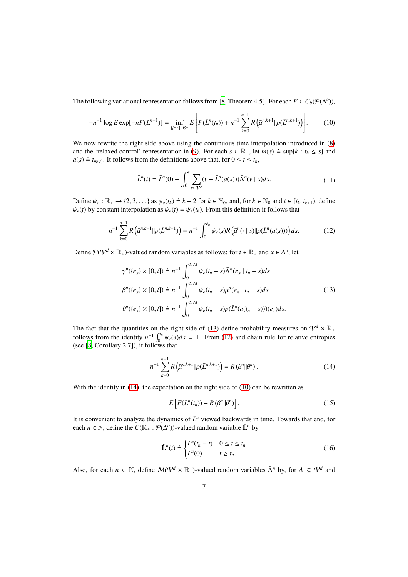The following variational representation follows from [\[8,](#page-26-8) Theorem 4.5]. For each  $F \in C_b(\mathcal{P}(\Delta^o))$ ,

$$
-n^{-1}\log E\exp[-nF(L^{n+1})]=\inf_{\{\bar{\mu}^{n,i}\}\in\Theta^n}E\left[F(\bar{L}^n(t_n))+n^{-1}\sum_{k=0}^{n-1}R\left(\bar{\mu}^{n,k+1}\|\rho(\bar{L}^{n,k+1})\right)\right].
$$
 (10)

We now rewrite the right side above using the continuous time interpolation introduced in  $(8)$ and the 'relaxed control' representation in [\(9\)](#page-5-3). For each  $s \in \mathbb{R}_+$ , let  $m(s) \doteq \sup\{k : t_k \le s\}$  and  $a(s) \doteq t_{m(s)}$ . It follows from the definitions above that, for  $0 \le t \le t_n$ ,

<span id="page-6-4"></span><span id="page-6-2"></span><span id="page-6-0"></span>
$$
\bar{L}^{n}(t) = \bar{L}^{n}(0) + \int_{0}^{t} \sum_{v \in V^{d}} (v - \bar{L}^{n}(a(s))) \bar{\Lambda}^{n}(v \mid s) ds.
$$
 (11)

Define  $\psi_e : \mathbb{R}_+ \to \{2, 3, \ldots\}$  as  $\psi_e(t_k) \doteq k + 2$  for  $k \in \mathbb{N}_0$ , and, for  $k \in \mathbb{N}_0$  and  $t \in [t_k, t_{k+1})$ , define  $\psi_e(t)$  by constant interpolation as  $\psi_e(t) = \psi_e(t_k)$ . From this definition it follows that

$$
n^{-1} \sum_{k=0}^{n-1} R\left(\bar{\mu}^{n,k+1} || \rho(\bar{L}^{n,k+1})\right) = n^{-1} \int_0^{t_n} \psi_e(s) R\left(\bar{\mu}^n(\cdot \mid s) || \rho(\bar{L}^n(a(s)))\right) ds.
$$
 (12)

Define  $P(V^d \times \mathbb{R}_+)$ -valued random variables as follows: for  $t \in \mathbb{R}_+$  and  $x \in \Delta^o$ , let

<span id="page-6-1"></span>
$$
\gamma^{n}(\{e_{x}\}\times[0,t])\doteq n^{-1}\int_{0}^{t_{n}\wedge t}\psi_{e}(t_{n}-s)\bar{\Lambda}^{n}(e_{x}\mid t_{n}-s)ds
$$
\n
$$
\beta^{n}(\{e_{x}\}\times[0,t])\doteq n^{-1}\int_{0}^{t_{n}\wedge t}\psi_{e}(t_{n}-s)\bar{\mu}^{n}(e_{x}\mid t_{n}-s)ds
$$
\n
$$
\theta^{n}(\{e_{x}\}\times[0,t])\doteq n^{-1}\int_{0}^{t_{n}\wedge t}\psi_{e}(t_{n}-s)\rho(\bar{L}^{n}(a(t_{n}-s)))(e_{x})ds.
$$
\n(13)

The fact that the quantities on the right side of [\(13\)](#page-6-1) define probability measures on  $\mathcal{V}^d \times \mathbb{R}_+$ follows from the identity  $n^{-1} \int_0^{t_n} \psi_e(s) ds = 1$ . From [\(12\)](#page-6-2) and chain rule for relative entropies (see [\[8](#page-26-8), Corollary 2.7]), it follows that

<span id="page-6-3"></span>
$$
n^{-1} \sum_{k=0}^{n-1} R(\bar{\mu}^{n,k+1} || \rho(\bar{L}^{n,k+1})) = R(\beta^n || \theta^n).
$$
 (14)

With the identity in [\(14\)](#page-6-3), the expectation on the right side of [\(10\)](#page-6-0) can be rewritten as

<span id="page-6-5"></span>
$$
E\left[F(\bar{L}^n(t_n))+R(\beta^n||\theta^n)\right].
$$
\n(15)

It is convenient to analyze the dynamics of  $\bar{L}^n$  yiewed backwards in time. Towards that end, for each *n*  $\in$  N, define the  $C(\mathbb{R}_+ : \mathcal{P}(\Delta^o))$ -valued random variable  $\check{\mathbf{L}}^n$  by

$$
\check{\mathbf{L}}^n(t) \doteq \begin{cases} \bar{L}^n(t_n - t) & 0 \le t \le t_n \\ \bar{L}^n(0) & t \ge t_n. \end{cases} \tag{16}
$$

Also, for each  $n \in \mathbb{N}$ , define  $\mathcal{M}(\mathcal{V}^d \times \mathbb{R}_+)$ -valued random variables  $\check{\Lambda}^n$  by, for  $A \subseteq \mathcal{V}^d$  and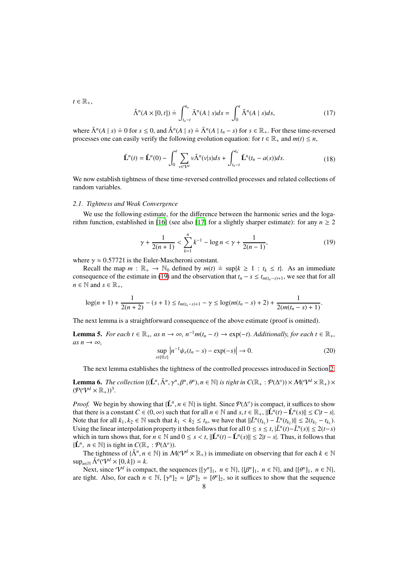<span id="page-7-4"></span> $t \in \mathbb{R}_+,$ 

<span id="page-7-3"></span>
$$
\check{\Lambda}^n(A \times [0, t]) \doteq \int_{t_n - t}^{t_n} \bar{\Lambda}^n(A \mid s) ds = \int_0^t \check{\Lambda}^n(A \mid s) ds, \tag{17}
$$

where  $\bar{\Lambda}^n(A \mid s) \doteq 0$  for  $s \le 0$ , and  $\tilde{\Lambda}^n(A \mid s) \doteq \bar{\Lambda}^n(A \mid t_n - s)$  for  $s \in \mathbb{R}_+$ . For these time-reversed processes one can easily verify the following evolution equation: for  $t \in \mathbb{R}_+$  and  $m(t) \leq n$ ,

$$
\check{\mathbf{L}}^{n}(t) = \check{\mathbf{L}}^{n}(0) - \int_{0}^{t} \sum_{v \in \mathcal{V}^{d}} v \check{\Lambda}^{n}(v|s) ds + \int_{t_{n}-t}^{t_{n}} \check{\mathbf{L}}^{n}(t_{n} - a(s)) ds.
$$
 (18)

We now establish tightness of these time-reversed controlled processes and related collections of random variables.

#### *2.1. Tightness and Weak Convergence*

<span id="page-7-0"></span>We use the following estimate, for the difference between the harmonic series and the loga-rithm function, established in [\[16\]](#page-26-15) (see also [\[17\]](#page-26-16) for a slightly sharper estimate): for any  $n \ge 2$ 

$$
\gamma + \frac{1}{2(n+1)} < \sum_{k=1}^{n} k^{-1} - \log n < \gamma + \frac{1}{2(n-1)},\tag{19}
$$

where  $\gamma \approx 0.57721$  is the Euler-Mascheroni constant.

Recall the map  $m : \mathbb{R}_+ \to \mathbb{N}_0$  defined by  $m(t) \doteq \sup\{k \ge 1 : t_k \le t\}$ . As an immediate consequence of the estimate in [\(19\)](#page-7-0) and the observation that  $t_n - s \leq t_{m(t_n-s)+1}$ , we see that for all  $n \in \mathbb{N}$  and  $s \in \mathbb{R}_+$ ,

$$
\log(n+1)+\frac{1}{2(n+2)}-(s+1)\leq t_{m(t_n-s)+1}-\gamma\leq \log(m(t_n-s)+2)+\frac{1}{2(m(t_n-s)+1)}.
$$

The next lemma is a straightforward consequence of the above estimate (proof is omitted).

<span id="page-7-1"></span>**Lemma 5.** *For each*  $t \in \mathbb{R}_+$ , *as*  $n \to \infty$ ,  $n^{-1}m(t_n - t) \to \exp(-t)$ . *Additionally, for each*  $t \in \mathbb{R}_+$ ,  $as n \rightarrow \infty$ ,

$$
\sup_{s \in [0,t]} \left| n^{-1} \psi_e(t_n - s) - \exp(-s) \right| \to 0. \tag{20}
$$

The next lemma establishes the tightness of the controlled processes introduced in Section [2.](#page-5-1)

<span id="page-7-2"></span>**Lemma 6.** *The collection*  $\{(\check{\mathbf{L}}^n, \check{\Lambda}^n, \gamma^n, \beta^n, \theta^n), n \in \mathbb{N}\}\)$  *is tight in*  $C(\mathbb{R}_+ : \mathcal{P}(\Delta^o)) \times \mathcal{M}(\mathcal{V}^d \times \mathbb{R}_+) \times$  $(\mathcal{P}(\mathcal{V}^d \times \mathbb{R}_+))^3$ .

*Proof.* We begin by showing that { $\check{L}^n$ ,  $n \in \mathbb{N}$ } is tight. Since  $\mathcal{P}(\Delta^o)$  is compact, it suffices to show that there is a constant  $C \in (0, \infty)$  such that for all  $n \in \mathbb{N}$  and  $s, t \in \mathbb{R}_+$ ,  $\|\check{L}^n(t) - \check{L}^n(s)\| \le C|t - s|$ . Note that for all  $k_1, k_2 \in \mathbb{N}$  such that  $k_1 < k_2 \le t_n$ , we have that  $\|\bar{L}^n(t_{k_1}) - \bar{L}^n(t_{k_2})\| \le 2(t_{k_2} - t_{k_1})$ . Using the linear interpolation property it then follows that for all  $0 \le s \le t$ ,  $|\bar{L}^n(t) - \bar{L}^n(s)| \le 2(t-s)$ which in turn shows that, for  $n \in \mathbb{N}$  and  $0 \le s < t$ ,  $\|\check{L}^n(t) - \check{L}^n(s)\| \le 2|t - s|$ . Thus, it follows that { $\check{L}^n$ , *n* ∈ ℕ} is tight in  $C(\mathbb{R}_+ : \mathcal{P}(\Delta^o))$ .

The tightness of  $\{\check{\Lambda}^n, n \in \mathbb{N}\}$  in  $\mathcal{M}(\mathcal{V}^d \times \mathbb{R}_+)$  is immediate on observing that for each  $k \in \mathbb{N}$  $\sup_{n\in\mathbb{N}} \check{\Lambda}^n(\mathcal{V}^d \times [0,k]) = k.$ 

Next, since  $\mathcal{V}^d$  is compact, the sequences  $\{\llbracket \gamma^n \rrbracket_1, n \in \mathbb{N}\}\$ ,  $\{\llbracket \beta^n \rrbracket_1, n \in \mathbb{N}\}\$ , and  $\{\llbracket \theta^n \rrbracket_1, n \in \mathbb{N}\}\$ , are tight. Also, for each  $n \in \mathbb{N}$ ,  $[\gamma^n]_2 = [\beta^n]_2 = [\theta^n]_2$ , so it suffices to show that the sequence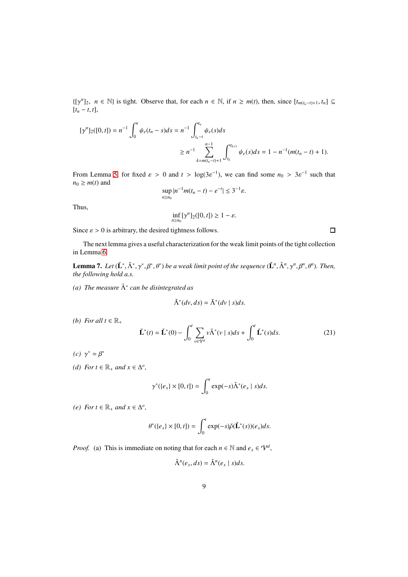$\{[\gamma^n]_2, n \in \mathbb{N}\}\$ is tight. Observe that, for each  $n \in \mathbb{N}$ , if  $n \geq m(t)$ , then, since  $[t_{m(t_n-t)+1}, t_n]$  ⊆  $[t_n - t, t],$ 

$$
\begin{aligned} [\gamma^n]_2([0,t]) &= n^{-1} \int_0^t \psi_e(t_n - s) ds = n^{-1} \int_{t_n - t}^{t_n} \psi_e(s) ds \\ &\ge n^{-1} \sum_{k=m(t_n - t)+1}^{n-1} \int_{t_k}^{t_{k+1}} \psi_e(s) ds = 1 - n^{-1} (m(t_n - t) + 1). \end{aligned}
$$

From Lemma [5,](#page-7-1) for fixed  $\varepsilon > 0$  and  $t > log(3\varepsilon^{-1})$ , we can find some  $n_0 > 3\varepsilon^{-1}$  such that  $n_0 \geq m(t)$  and

$$
\sup_{n\geq n_0}|n^{-1}m(t_n-t)-e^{-t}|\leq 3^{-1}\varepsilon.
$$

Thus,

$$
\inf_{n\geq n_0} [\gamma^n]_2([0,t]) \geq 1-\varepsilon.
$$

Since  $\varepsilon > 0$  is arbitrary, the desired tightness follows.

 $\Box$ 

The next lemma gives a useful characterization for the weak limit points of the tight collection in Lemma [6.](#page-7-2)

<span id="page-8-0"></span>**Lemma 7.** Let  $(\check{L}^*, \check{\Lambda}^*, \gamma^*, \beta^*, \theta^*)$  be a weak limit point of the sequence  $(\check{L}^n, \check{\Lambda}^n, \gamma^n, \beta^n, \theta^n)$ . Then, *the following hold a.s.*

*(a) The measure* Λˇ <sup>∗</sup> *can be disintegrated as*

$$
\check{\Lambda}^*(dv, ds) = \check{\Lambda}^*(dv \mid s) ds.
$$

*(b) For all*  $t \in \mathbb{R}_+$ 

<span id="page-8-1"></span>
$$
\check{\mathbf{L}}^*(t) = \check{\mathbf{L}}^*(0) - \int_0^t \sum_{v \in \mathcal{V}^d} v \check{\Lambda}^*(v \mid s) ds + \int_0^t \check{\mathbf{L}}^*(s) ds. \tag{21}
$$

(*c*)  $\gamma^* = \beta^*$ 

*(d) For t* ∈  $\mathbb{R}_+$  *and*  $x \in \Delta^o$ *,* 

$$
\gamma^*(\{e_x\} \times [0, t]) = \int_0^t \exp(-s)\check{\Lambda}^*(e_x \mid s)ds.
$$

*(e) For t* ∈  $\mathbb{R}_+$  *and*  $x \in \Delta^o$ *,* 

$$
\theta^*(\{e_x\} \times [0, t]) = \int_0^t \exp(-s)\check{\rho}(\check{\mathbf{L}}^*(s))(e_x)ds.
$$

*Proof.* (a) This is immediate on noting that for each  $n \in \mathbb{N}$  and  $e_x \in \mathcal{V}^d$ ,

Λˇ

$$
\check{\Lambda}^n(e_x, ds) = \check{\Lambda}^n(e_x \mid s) ds.
$$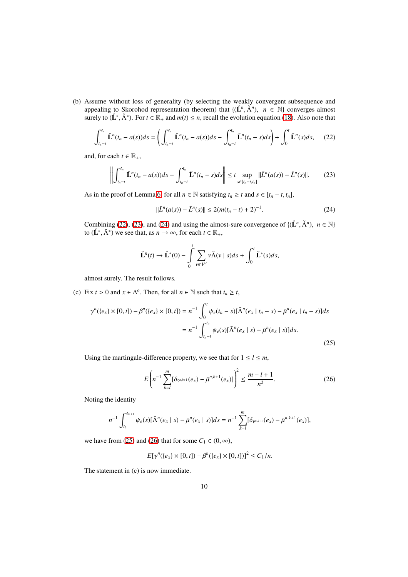(b) Assume without loss of generality (by selecting the weakly convergent subsequence and appealing to Skorohod representation theorem) that  $\{(\check{L}^n, \check{\Lambda}^n), n \in \mathbb{N}\}\)$  converges almost surely to  $(\check{L}^*, \check{\Lambda}^*)$ . For  $t \in \mathbb{R}_+$  and  $m(t) \leq n$ , recall the evolution equation [\(18\)](#page-7-3). Also note that

$$
\int_{t_n-t}^{t_n} \check{L}^n(t_n - a(s))ds = \left(\int_{t_n-t}^{t_n} \check{L}^n(t_n - a(s))ds - \int_{t_n-t}^{t_n} \check{L}^n(t_n - s)ds\right) + \int_0^t \check{L}^n(s)ds,\tag{22}
$$

and, for each  $t \in \mathbb{R}_+$ ,

<span id="page-9-1"></span>
$$
\left\| \int_{t_n-t}^{t_n} \check{L}^n(t_n - a(s)) ds - \int_{t_n-t}^{t_n} \check{L}^n(t_n - s) ds \right\| \le t \sup_{s \in [t_n - t, t_n]} ||\bar{L}^n(a(s)) - \bar{L}^n(s)||. \tag{23}
$$

As in the proof of Lemma [6,](#page-7-2) for all  $n \in \mathbb{N}$  satisfying  $t_n \ge t$  and  $s \in [t_n - t, t_n]$ ,

<span id="page-9-2"></span><span id="page-9-0"></span>
$$
\|\bar{L}^n(a(s)) - \bar{L}^n(s)\| \le 2(m(t_n - t) + 2)^{-1}.
$$
\n(24)

Combining [\(22\)](#page-9-0), [\(23\)](#page-9-1), and [\(24\)](#page-9-2) and using the almost-sure convergence of  $\{(\check{L}^n, \check{\Lambda}^n), n \in \mathbb{N}\}\$ to  $(\check{L}^*, \check{\Lambda}^*)$  we see that, as  $n \to \infty$ , for each  $t \in \mathbb{R}_+$ ,

<span id="page-9-3"></span>
$$
\check{\mathbf{L}}^n(t) \to \check{\mathbf{L}}^*(0) - \int_0^t \sum_{v \in \mathcal{V}^d} v \check{\Lambda}(v \mid s) ds + \int_0^t \check{\mathbf{L}}^*(s) ds,
$$

almost surely. The result follows.

(c) Fix  $t > 0$  and  $x \in \Delta^o$ . Then, for all  $n \in \mathbb{N}$  such that  $t_n \ge t$ ,

$$
\gamma^{n}(\{e_{x}\}\times[0,t]) - \beta^{n}(\{e_{x}\}\times[0,t]) = n^{-1} \int_{0}^{t} \psi_{e}(t_{n}-s)[\bar{\Lambda}^{n}(e_{x} \mid t_{n}-s) - \bar{\mu}^{n}(e_{x} \mid t_{n}-s)]ds
$$

$$
= n^{-1} \int_{t_{n}-t}^{t_{n}} \psi_{e}(s)[\bar{\Lambda}^{n}(e_{x} \mid s) - \bar{\mu}^{n}(e_{x} \mid s)]ds.
$$
(25)

Using the martingale-difference property, we see that for  $1 \leq l \leq m$ ,

<span id="page-9-4"></span>
$$
E\left(n^{-1}\sum_{k=l}^{m}[\delta_{\bar{v}^{n,k+1}}(e_x)-\bar{\mu}^{n,k+1}(e_x)]\right)^2\leq \frac{m-l+1}{n^2}.
$$
 (26)

Noting the identity

$$
n^{-1}\int_{t_1}^{t_{m+1}}\psi_e(s)[\bar{\Lambda}^n(e_x\mid s)-\bar{\mu}^n(e_x\mid s)]ds=n^{-1}\sum_{k=l}^m[\delta_{\bar{\nu}^{n,k+1}}(e_x)-\bar{\mu}^{n,k+1}(e_x)],
$$

we have from [\(25\)](#page-9-3) and [\(26\)](#page-9-4) that for some  $C_1 \in (0, \infty)$ ,

$$
E[\gamma^{n}(\{e_{x}\}\times[0,t])-\beta^{n}(\{e_{x}\}\times[0,t])]^{2}\leq C_{1}/n.
$$

The statement in (c) is now immediate.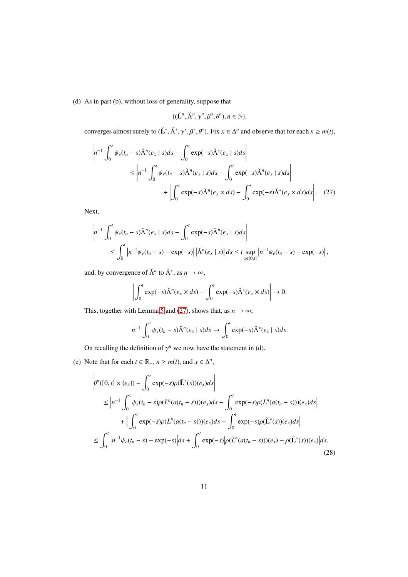(d) As in part (b), without loss of generality, suppose that

<span id="page-10-0"></span>
$$
\{(\check{\mathbf{L}}^n, \check{\Lambda}^n, \gamma^n, \beta^n, \theta^n), n \in \mathbb{N}\},\
$$

converges almost surely to  $(\check{L}^*, \check{\Lambda}^*, \gamma^*, \beta^*, \theta^*)$ . Fix  $x \in \Delta^o$  and observe that for each  $n \ge m(t)$ ,

$$
\left| n^{-1} \int_0^t \psi_e(t_n - s) \check{\Lambda}^n(e_x | s) ds - \int_0^t \exp(-s) \check{\Lambda}^n(e_x | s) ds \right|
$$
  
\n
$$
\leq \left| n^{-1} \int_0^t \psi_e(t_n - s) \check{\Lambda}^n(e_x | s) ds - \int_0^t \exp(-s) \check{\Lambda}^n(e_x | s) ds \right|
$$
  
\n
$$
+ \left| \int_0^t \exp(-s) \check{\Lambda}^n(e_x \times ds) - \int_0^t \exp(-s) \check{\Lambda}^n(e_x \times ds) ds \right|.
$$
 (27)

Next,

$$
\left| n^{-1} \int_0^t \psi_e(t_n - s) \check{\Lambda}^n(e_x | s) ds - \int_0^t \exp(-s) \check{\Lambda}^n(e_x | s) ds \right|
$$
  
\$\leq \int\_0^t \left| n^{-1} \psi\_e(t\_n - s) - \exp(-s) \right| \left| \check{\Lambda}^n(e\_x | s) \right| ds \leq t \sup\_{s \in [0, t]} \left| n^{-1} \psi\_e(t\_n - s) - \exp(-s) \right|\$,

and, by convergence of  $\check{\Lambda}^n$  to  $\check{\Lambda}^*$ , as  $n \to \infty$ ,

$$
\left| \int_0^t \exp(-s) \check{\Lambda}^n(e_x \times ds) - \int_0^t \exp(-s) \check{\Lambda}^*(e_x \times ds) \right| \to 0.
$$

This, together with Lemma [5](#page-7-1) and [\(27\)](#page-10-0), shows that, as  $n \to \infty$ ,

<span id="page-10-1"></span>
$$
n^{-1} \int_0^t \psi_e(t_n-s) \check{\Lambda}^n(e_x \mid s) ds \to \int_0^t \exp(-s) \check{\Lambda}^*(e_x \mid s) ds.
$$

On recalling the definition of  $\gamma^n$  we now have the statement in (d).

(e) Note that for each  $t \in \mathbb{R}_+$ ,  $n \ge m(t)$ , and  $x \in \Delta^o$ ,

$$
\left| \theta^{n}([0, t] \times \{e_{x}\}) - \int_{0}^{t} \exp(-s)\rho(\check{L}^{*}(s))(e_{x})ds \right|
$$
\n
$$
\leq \left| n^{-1} \int_{0}^{t} \psi_{e}(t_{n} - s)\rho(\bar{L}^{n}(a(t_{n} - s)))(e_{x})ds - \int_{0}^{t} \exp(-s)\rho(\bar{L}^{n}(a(t_{n} - s)))(e_{x})ds \right|
$$
\n
$$
+ \left| \int_{0}^{t} \exp(-s)\rho(\bar{L}^{n}(a(t_{n} - s)))(e_{x})ds - \int_{0}^{t} \exp(-s)\rho(\check{L}^{*}(s))(e_{x})ds \right|
$$
\n
$$
\leq \int_{0}^{t} \left| n^{-1}\psi_{e}(t_{n} - s) - \exp(-s) \right| ds + \int_{0}^{t} \exp(-s)\left| \rho(\bar{L}^{n}(a(t_{n} - s)))(e_{x}) - \rho(\check{L}^{*}(s))(e_{x}) \right| ds.
$$
\n(28)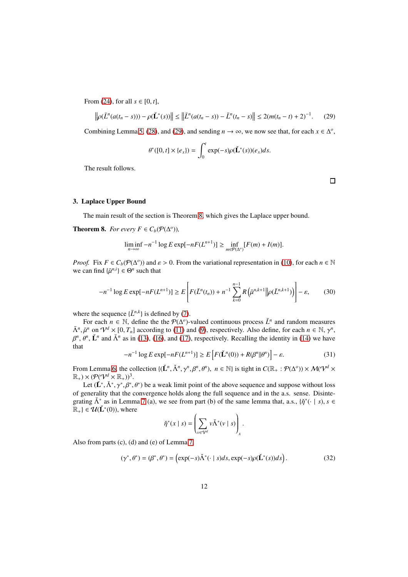From [\(24\)](#page-9-2), for all  $s \in [0, t]$ ,

$$
\left\| \rho(\bar{L}^n(a(t_n - s))) - \rho(\check{L}^*(s)) \right\| \le \left\| \bar{L}^n(a(t_n - s)) - \bar{L}^n(t_n - s) \right\| \le 2(m(t_n - t) + 2)^{-1}.
$$
 (29)

Combining Lemma [5,](#page-7-1) [\(28\)](#page-10-1), and [\(29\)](#page-11-2), and sending  $n \to \infty$ , we now see that, for each  $x \in \Delta^o$ ,

<span id="page-11-2"></span>
$$
\theta^*([0, t] \times \{e_x\}) = \int_0^t \exp(-s)\rho(\check{\mathbf{L}}^*(s)) (e_x) ds.
$$

The result follows.

 $\Box$ 

#### <span id="page-11-1"></span>3. Laplace Upper Bound

The main result of the section is Theorem [8,](#page-11-0) which gives the Laplace upper bound.

<span id="page-11-0"></span>**Theorem 8.** *For every*  $F \in C_b(\mathcal{P}(\Delta^o))$ *,* 

$$
\liminf_{n\to\infty} -n^{-1}\log E \exp[-nF(L^{n+1})] \ge \inf_{m\in P(\Delta^o)} [F(m)+I(m)].
$$

*Proof.* Fix  $F \in C_b(\mathcal{P}(\Delta^o))$  and  $\varepsilon > 0$ . From the variational representation in [\(10\)](#page-6-0), for each  $n \in \mathbb{N}$ we can find  $\{\bar{\mu}^{n,i}\}\in \Theta^n$  such that

$$
-n^{-1}\log E\exp[-nF(L^{n+1})] \ge E\left[F(\bar{L}^n(t_n)) + n^{-1}\sum_{k=0}^{n-1} R\left(\bar{\mu}^{n,k+1} \middle\|\rho(\bar{L}^{n,k+1})\right)\right] - \varepsilon,\qquad(30)
$$

where the sequence  $\{\bar{L}^{n,k}\}\$ is defined by [\(7\)](#page-5-4).

For each  $n \in \mathbb{N}$ , define the the  $\mathcal{P}(\Delta^o)$ -valued continuous process  $\bar{L}^n$  and random measures  $\bar{\Lambda}^n$ ,  $\bar{\mu}^n$  on  $\mathcal{V}^d \times [0, T_n]$  according to [\(11\)](#page-6-4) and [\(9\)](#page-5-3), respectively. Also define, for each  $n \in \mathbb{N}$ ,  $\gamma^n$ ,  $\beta^n$ ,  $\beta^n$ ,  $\check{L}^n$  and  $\check{\Lambda}^n$  as in [\(13\)](#page-6-1), [\(16\)](#page-6-5), and [\(17\)](#page-7-4), respectively. Recalling the identity in [\(14\)](#page-6-3) we have that

$$
-n^{-1}\log E\exp[-nF(L^{n+1})] \ge E\left[F(\check{L}^n(0)) + R(\beta^n||\theta^n)\right] - \varepsilon.
$$
\n(31)

From Lemma [6,](#page-7-2) the collection  $\{(\check{L}^n, \check{\Lambda}^n, \gamma^n, \beta^n, \theta^n), n \in \mathbb{N}\}\)$  is tight in  $C(\mathbb{R}_+ : \mathcal{P}(\Delta^o)) \times \mathcal{M}(\mathcal{V}^d \times \mathcal{V}^d)$  $\mathbb{R}_+$ )  $\times$   $(\mathcal{P}(\mathcal{V}^d \times \mathbb{R}_+))^3$ .

Let  $(\check{L}^*, \check{\Lambda}^*, \gamma^*, \beta^*, \theta^*)$  be a weak limit point of the above sequence and suppose without loss of generality that the convergence holds along the full sequence and in the a.s. sense. Disintegrating  $\check{\Lambda}^*$  as in Lemma [7](#page-8-0) (a), we see from part (b) of the same lemma that, a.s.,  $\{\check{\eta}^*(\cdot \mid s), s \in \Lambda\}$  $\mathbb{R}_+$ }  $\in \mathcal{U}(\check{\mathbf{L}}^*(0))$ , where

<span id="page-11-3"></span>
$$
\check{\eta}^*(x \mid s) = \left(\sum_{v \in \mathcal{V}^d} v \check{\Lambda}^*(v \mid s)\right)_x.
$$

Also from parts (c), (d) and (e) of Lemma [7,](#page-8-0)

$$
(\gamma^*, \theta^*) = (\beta^*, \theta^*) = \left(\exp(-s)\check{\Lambda}^*(\cdot \mid s)ds, \exp(-s)\rho(\check{\mathbf{L}}^*(s))ds\right). \tag{32}
$$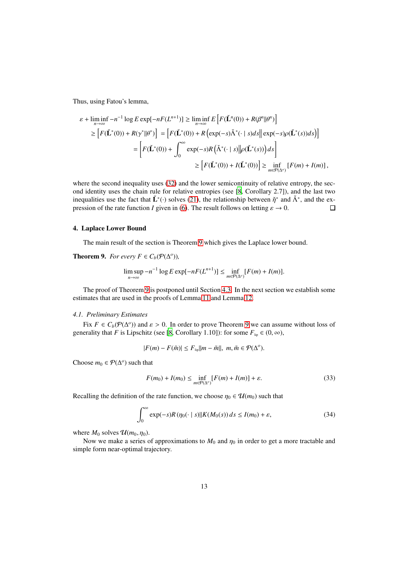Thus, using Fatou's lemma,

$$
\varepsilon + \liminf_{n \to \infty} -n^{-1} \log E \exp[-nF(L^{n+1})] \ge \liminf_{n \to \infty} E\left[F(\check{\mathbf{L}}^n(0)) + R(\beta^n || \theta^n)\right]
$$
  
\n
$$
\ge \left[F(\check{\mathbf{L}}^*(0)) + R(\gamma^* || \theta^*)\right] = \left[F(\check{\mathbf{L}}^*(0)) + R\left(\exp(-s)\check{\Lambda}^*(\cdot \mid s)ds\right||\exp(-s)\rho(\check{\mathbf{L}}^*(s))ds\right]
$$
  
\n
$$
= \left[F(\check{\mathbf{L}}^*(0)) + \int_0^\infty \exp(-s)R\left(\check{\Lambda}^*(\cdot \mid s)\middle|\rho(\check{\mathbf{L}}^*(s))\right)ds\right]
$$
  
\n
$$
\ge \left[F(\check{\mathbf{L}}^*(0)) + I(\check{\mathbf{L}}^*(0))\right] \ge \inf_{m \in \mathcal{P}(\Delta^o)} \left[F(m) + I(m)\right],
$$

where the second inequality uses [\(32\)](#page-11-3) and the lower semicontinuity of relative entropy, the second identity uses the chain rule for relative entropies (see [\[8,](#page-26-8) Corollary 2.7]), and the last two inequalities use the fact that  $\check{L}^*(\cdot)$  solves [\(21\)](#page-8-1), the relationship between  $\check{\eta}^*$  and  $\check{\Lambda}^*$ , and the expression of the rate function *I* given in [\(6\)](#page-4-0). The result follows on letting  $\varepsilon \to 0$ .  $\Box$ 

## <span id="page-12-1"></span>4. Laplace Lower Bound

The main result of the section is Theorem [9](#page-12-0) which gives the Laplace lower bound.

<span id="page-12-0"></span>**Theorem 9.** *For every*  $F \in C_b(\mathcal{P}(\Delta^o))$ *,* 

$$
\limsup_{n\to\infty}-n^{-1}\log E\exp[-nF(L^{n+1})]\leq \inf_{m\in P(\Delta^o)}[F(m)+I(m)].
$$

The proof of Theorem [9](#page-12-0) is postponed until Section [4.3.](#page-24-1) In the next section we establish some estimates that are used in the proofs of Lemma [11](#page-19-0) and Lemma [12.](#page-22-0)

## <span id="page-12-2"></span>*4.1. Preliminary Estimates*

Fix  $F \in C_b(\mathcal{P}(\Delta^o))$  and  $\varepsilon > 0$ . In order to prove Theorem [9](#page-12-0) we can assume without loss of generality that *F* is Lipschitz (see [\[8](#page-26-8), Corollary 1.10]): for some  $F_{\text{lip}} \in (0, \infty)$ ,

$$
|F(m) - F(\tilde{m})| \leq F_{\text{lip}} ||m - \tilde{m}||, \ m, \tilde{m} \in \mathcal{P}(\Delta^o).
$$

Choose  $m_0 \in \mathcal{P}(\Delta^o)$  such that

$$
F(m_0) + I(m_0) \le \inf_{m \in \mathcal{P}(\Delta^o)} [F(m) + I(m)] + \varepsilon. \tag{33}
$$

Recalling the definition of the rate function, we choose  $\eta_0 \in \mathcal{U}(m_0)$  such that

$$
\int_0^\infty \exp(-s)R\left(\eta_0(\cdot \mid s)\middle\|K(M_0(s))\,ds\le I(m_0)+\varepsilon,\right)
$$
\n(34)

where  $M_0$  solves  $\mathcal{U}(m_0, \eta_0)$ .

Now we make a series of approximations to  $M_0$  and  $\eta_0$  in order to get a more tractable and simple form near-optimal trajectory.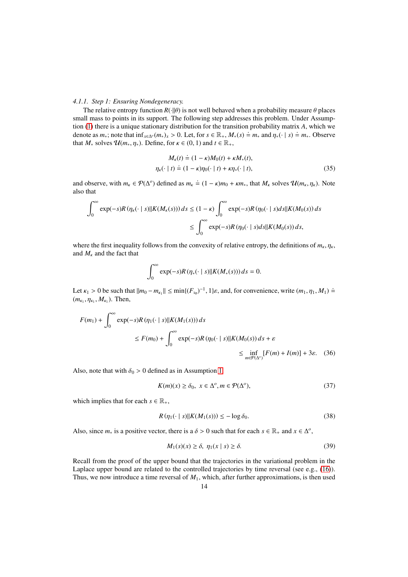## *4.1.1. Step 1: Ensuring Nondegeneracy.*

The relative entropy function  $R(\cdot||\theta)$  is not well behaved when a probability measure  $\theta$  places small mass to points in its support. The following step addresses this problem. Under Assumption [\(1\)](#page-3-1) there is a unique stationary distribution for the transition probability matrix *A*, which we denote as  $m_*$ ; note that  $\inf_{x \in \Delta^o} (m_*)_x > 0$ . Let, for  $s \in \mathbb{R}_+$ ,  $M_*(s) \doteq m_*$  and  $\eta_*(\cdot | s) \doteq m_*$ . Observe that  $M_*$  solves  $\mathcal{U}(m_*, \eta_*)$ . Define, for  $\kappa \in (0, 1)$  and  $t \in \mathbb{R}_+$ ,

$$
M_{\kappa}(t) \doteq (1 - \kappa)M_0(t) + \kappa M_*(t),
$$
  
\n
$$
\eta_{\kappa}(\cdot \mid t) \doteq (1 - \kappa)\eta_0(\cdot \mid t) + \kappa \eta_*(\cdot \mid t),
$$
\n(35)

and observe, with  $m_k \in \mathcal{P}(\Delta^o)$  defined as  $m_k \doteq (1 - \kappa)m_0 + \kappa m_*$ , that  $M_k$  solves  $\mathcal{U}(m_k, \eta_k)$ . Note also that

$$
\int_0^\infty \exp(-s)R(\eta_{\kappa}(\cdot \mid s) || K(M_{\kappa}(s))) ds \le (1 - \kappa) \int_0^\infty \exp(-s)R(\eta_0(\cdot \mid s) ds || K(M_0(s)) ds
$$
  

$$
\le \int_0^\infty \exp(-s)R(\eta_0(\cdot \mid s) ds || K(M_0(s)) ds,
$$

where the first inequality follows from the convexity of relative entropy, the definitions of  $m_k$ ,  $\eta_k$ , and  $M_k$  and the fact that

$$
\int_0^\infty \exp(-s)R\left(\eta_*(\cdot \mid s)\middle\|K(M_*(s))\right)ds=0.
$$

Let  $\kappa_1 > 0$  be such that  $||m_0 - m_{\kappa_1}|| \le \min\{(F_{\text{lip}})^{-1}, 1\}\varepsilon$ , and, for convenience, write  $(m_1, \eta_1, M_1) \doteq$  $(m_{\kappa_1}, \eta_{\kappa_1}, M_{\kappa_1})$ . Then,

$$
F(m_1) + \int_0^\infty \exp(-s)R(\eta_1(\cdot \mid s) || K(M_1(s))) ds
$$
  
\n
$$
\leq F(m_0) + \int_0^\infty \exp(-s)R(\eta_0(\cdot \mid s) || K(M_0(s)) ds + \varepsilon
$$
  
\n
$$
\leq \inf_{m \in \mathcal{P}(\Delta^o)} [F(m) + I(m)] + 3\varepsilon. \quad (36)
$$

Also, note that with  $\delta_0 > 0$  defined as in Assumption [1,](#page-3-1)

<span id="page-13-3"></span><span id="page-13-2"></span><span id="page-13-1"></span>
$$
K(m)(x) \ge \delta_0, \ x \in \Delta^o, m \in \mathcal{P}(\Delta^o), \tag{37}
$$

which implies that for each  $s \in \mathbb{R}_+$ ,

$$
R\left(\eta_1(\cdot \mid s) \middle\| K(M_1(s))\right) \le -\log \delta_0. \tag{38}
$$

Also, since  $m_*$  is a positive vector, there is a  $\delta > 0$  such that for each  $s \in \mathbb{R}_+$  and  $x \in \Delta^o$ ,

<span id="page-13-0"></span>
$$
M_1(s)(x) \ge \delta, \ \eta_1(x \mid s) \ge \delta. \tag{39}
$$

Recall from the proof of the upper bound that the trajectories in the variational problem in the Laplace upper bound are related to the controlled trajectories by time reversal (see e.g., [\(16\)](#page-6-5)). Thus, we now introduce a time reversal of *M*1, which, after further approximations, is then used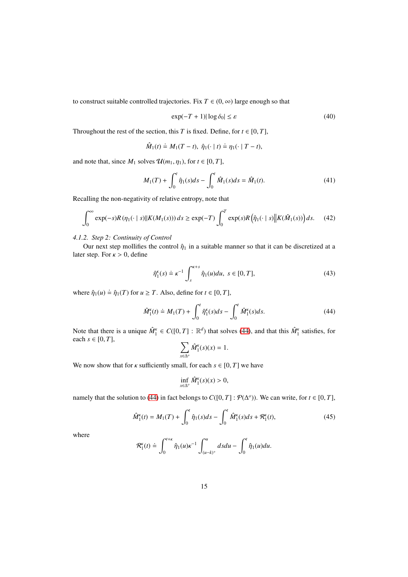to construct suitable controlled trajectories. Fix  $T \in (0, \infty)$  large enough so that

<span id="page-14-3"></span><span id="page-14-1"></span>
$$
\exp(-T + 1)|\log \delta_0| \le \varepsilon \tag{40}
$$

Throughout the rest of the section, this *T* is fixed. Define, for  $t \in [0, T]$ ,

$$
\hat{M}_1(t) \doteq M_1(T-t), \ \hat{\eta}_1(\cdot \mid t) \doteq \eta_1(\cdot \mid T-t),
$$

and note that, since  $M_1$  solves  $\mathcal{U}(m_1, \eta_1)$ , for  $t \in [0, T]$ ,

<span id="page-14-4"></span>
$$
M_1(T) + \int_0^t \hat{\eta}_1(s)ds - \int_0^t \hat{M}_1(s)ds = \hat{M}_1(t). \tag{41}
$$

Recalling the non-negativity of relative entropy, note that

$$
\int_0^\infty \exp(-s)R(\eta_1(\cdot \mid s) \| K(M_1(s))) ds \ge \exp(-T) \int_0^T \exp(s)R(\hat{\eta}_1(\cdot \mid s) \| K(\hat{M}_1(s))) ds. \tag{42}
$$

#### *4.1.2. Step 2: Continuity of Control*

Our next step mollifies the control  $\hat{\eta}_1$  in a suitable manner so that it can be discretized at a later step. For  $\kappa > 0$ , define

$$
\hat{\eta}_1^{\kappa}(s) \doteq \kappa^{-1} \int_s^{\kappa+s} \hat{\eta}_1(u) du, \ s \in [0, T], \tag{43}
$$

where  $\hat{\eta}_1(u) \doteq \hat{\eta}_1(T)$  for  $u \geq T$ . Also, define for  $t \in [0, T]$ ,

$$
\hat{M}_1^{\kappa}(t) \doteq M_1(T) + \int_0^t \hat{\eta}_1^{\kappa}(s)ds - \int_0^t \hat{M}_1^{\kappa}(s)ds.
$$
 (44)

Note that there is a unique  $\hat{M}_1^{\kappa} \in C([0, T] : \mathbb{R}^d)$  that solves [\(44\)](#page-14-0), and that this  $\hat{M}_1^{\kappa}$  satisfies, for each  $s \in [0, T]$ ,

<span id="page-14-0"></span>
$$
\sum_{x \in \Delta^o} \hat{M}_1^{\kappa}(s)(x) = 1.
$$

We now show that for  $\kappa$  sufficiently small, for each  $s \in [0, T]$  we have

<span id="page-14-2"></span>
$$
\inf_{x \in \Delta^o} \hat{M}_1^{\kappa}(s)(x) > 0,
$$

namely that the solution to [\(44\)](#page-14-0) in fact belongs to  $C([0, T] : \mathcal{P}(\Delta^o))$ . We can write, for  $t \in [0, T]$ ,

$$
\hat{M}_1^{\kappa}(t) = M_1(T) + \int_0^t \hat{\eta}_1(s)ds - \int_0^t \hat{M}_1^{\kappa}(s)ds + \mathcal{R}_1^{\kappa}(t),\tag{45}
$$

where

$$
\mathcal{R}_1^k(t) \doteq \int_0^{t+\kappa} \hat{\eta}_1(u) \kappa^{-1} \int_{(u-k)^+}^u ds du - \int_0^t \hat{\eta}_1(u) du.
$$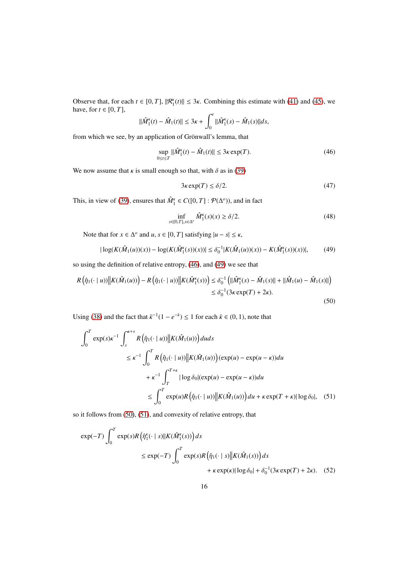Observe that, for each  $t \in [0, T]$ ,  $||\mathcal{R}_1^k(t)|| \leq 3\kappa$ . Combining this estimate with [\(41\)](#page-14-1) and [\(45\)](#page-14-2), we have, for  $t \in [0, T]$ ,

$$
\|\hat{M}_1^{\kappa}(t) - \hat{M}_1(t)\| \leq 3\kappa + \int_0^t \|\hat{M}_1^{\kappa}(s) - \hat{M}_1(s)\|ds,
$$

from which we see, by an application of Grönwall's lemma, that

$$
\sup_{0 \le t \le T} ||\hat{M}_1^{\kappa}(t) - \hat{M}_1(t)|| \le 3\kappa \exp(T). \tag{46}
$$

We now assume that  $\kappa$  is small enough so that, with  $\delta$  as in [\(39\)](#page-13-0)

<span id="page-15-6"></span><span id="page-15-4"></span><span id="page-15-0"></span>
$$
3\kappa \exp(T) \le \delta/2. \tag{47}
$$

This, in view of [\(39\)](#page-13-0), ensures that  $\hat{M}_1^{\kappa} \in C([0, T] : \mathcal{P}(\Delta^o)$ ), and in fact

<span id="page-15-3"></span><span id="page-15-2"></span><span id="page-15-1"></span>
$$
\inf_{s \in [0,T], x \in \Delta^o} \hat{M}_1^{\kappa}(s)(x) \ge \delta/2. \tag{48}
$$

Note that for  $x \in \Delta^o$  and  $u, s \in [0, T]$  satisfying  $|u - s| \le \kappa$ ,

$$
|\log(K(\hat{M}_1(u))(x)) - \log(K(\hat{M}_1^{\kappa}(s))(x))| \le \delta_0^{-1}|K(\hat{M}_1(u))(x)) - K(\hat{M}_1^{\kappa}(s))(x))|, \tag{49}
$$

so using the definition of relative entropy, [\(46\)](#page-15-0), and [\(49\)](#page-15-1) we see that

$$
R(\hat{\eta}_1(\cdot | u)) \Big\| K(\hat{M}_1(u)) - R(\hat{\eta}_1(\cdot | u)) \Big\| K(\hat{M}_1^{\kappa}(s)) \le \delta_0^{-1} \Big( \| \hat{M}_1^{\kappa}(s) - \hat{M}_1(s) \| + \| \hat{M}_1(u) - \hat{M}_1(s) \| \Big) \\ \le \delta_0^{-1} (3\kappa \exp(T) + 2\kappa). \tag{50}
$$

Using [\(38\)](#page-13-1) and the fact that  $\bar{\kappa}^{-1}(1 - e^{-\bar{\kappa}}) \le 1$  for each  $\bar{\kappa} \in (0, 1)$ , note that

$$
\int_0^T \exp(s)\kappa^{-1} \int_s^{\kappa+s} R\left(\hat{\eta}_1(\cdot|u)\right) \left|K(\hat{M}_1(u))\right| du ds
$$
  
\n
$$
\leq \kappa^{-1} \int_0^T R\left(\hat{\eta}_1(\cdot|u)\right) \left|K(\hat{M}_1(u))\right| (\exp(u) - \exp(u - \kappa)) du
$$
  
\n
$$
+ \kappa^{-1} \int_T^{T+\kappa} |\log \delta_0| (\exp(u) - \exp(u - \kappa)) du
$$
  
\n
$$
\leq \int_0^T \exp(u) R\left(\hat{\eta}_1(\cdot|u)\right) \left|K(\hat{M}_1(u))\right| du + \kappa \exp(T + \kappa) |\log \delta_0|, \quad (51)
$$

so it follows from [\(50\)](#page-15-2), [\(51\)](#page-15-3), and convexity of relative entropy, that

<span id="page-15-5"></span>
$$
\exp(-T) \int_0^T \exp(s) R\left(\hat{\eta}_1^{\kappa}(\cdot \mid s) \mid |K(\hat{M}_1^{\kappa}(s))\right) ds
$$
  

$$
\leq \exp(-T) \int_0^T \exp(s) R\left(\hat{\eta}_1(\cdot \mid s) \mid |K(\hat{M}_1(s))\right) ds
$$
  

$$
+ \kappa \exp(\kappa) |\log \delta_0| + \delta_0^{-1} (3 \kappa \exp(T) + 2 \kappa). \quad (52)
$$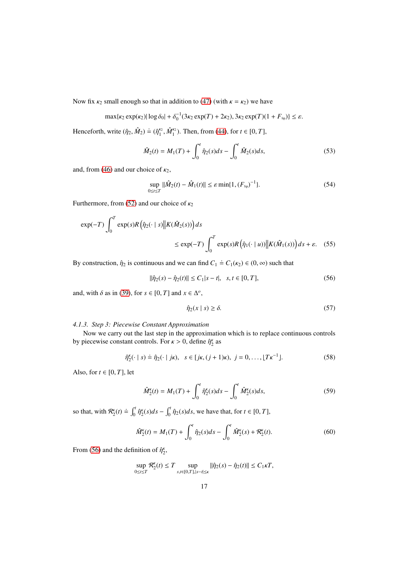Now fix  $\kappa_2$  small enough so that in addition to [\(47\)](#page-15-4) (with  $\kappa = \kappa_2$ ) we have

$$
\max\{\kappa_2 \exp(\kappa_2) | \log \delta_0| + \delta_0^{-1} (3\kappa_2 \exp(T) + 2\kappa_2), 3\kappa_2 \exp(T) (1 + F_{\text{lip}}) \} \leq \varepsilon.
$$

Henceforth, write  $(\hat{\eta}_2, \hat{M}_2) \doteq (\hat{\eta}_1^{\kappa_2}, \hat{M}_1^{\kappa_2})$ . Then, from [\(44\)](#page-14-0), for  $t \in [0, T]$ ,

<span id="page-16-1"></span>
$$
\hat{M}_2(t) = M_1(T) + \int_0^t \hat{\eta}_2(s)ds - \int_0^t \hat{M}_2(s)ds,
$$
\n(53)

and, from [\(46\)](#page-15-0) and our choice of  $\kappa_2$ ,

<span id="page-16-5"></span>
$$
\sup_{0 \le t \le T} \|\hat{M}_2(t) - \hat{M}_1(t)\| \le \varepsilon \min\{1, (F_{\text{lip}})^{-1}\}.
$$
 (54)

Furthermore, from [\(52\)](#page-15-5) and our choice of  $\kappa_2$ 

$$
\exp(-T) \int_0^T \exp(s) R(\hat{\eta}_2(\cdot \mid s) \| K(\hat{M}_2(s))) ds
$$
  

$$
\leq \exp(-T) \int_0^T \exp(s) R(\hat{\eta}_1(\cdot \mid u)) \| K(\hat{M}_1(s)) ds + \varepsilon. \quad (55)
$$

By construction,  $\hat{\eta}_2$  is continuous and we can find  $C_1 \doteq C_1(\kappa_2) \in (0, \infty)$  such that

$$
\|\hat{\eta}_2(s) - \hat{\eta}_2(t)\| \le C_1 |s - t|, \quad s, t \in [0, T],
$$
\n(56)

and, with  $\delta$  as in [\(39\)](#page-13-0), for  $s \in [0, T]$  and  $x \in \Delta^o$ ,

<span id="page-16-6"></span><span id="page-16-3"></span><span id="page-16-0"></span>
$$
\hat{\eta}_2(x \mid s) \ge \delta. \tag{57}
$$

#### *4.1.3. Step 3: Piecewise Constant Approximation*

Now we carry out the last step in the approximation which is to replace continuous controls by piecewise constant controls. For  $\kappa > 0$ , define  $\hat{\eta}_2^{\kappa}$  as

$$
\hat{\eta}_2^k(\cdot \mid s) \doteq \hat{\eta}_2(\cdot \mid j\kappa), \ \ s \in [j\kappa, (j+1)\kappa), \ j = 0, \dots, \lfloor T\kappa^{-1} \rfloor. \tag{58}
$$

Also, for  $t \in [0, T]$ , let

<span id="page-16-4"></span><span id="page-16-2"></span>
$$
\hat{M}_2^{\kappa}(t) = M_1(T) + \int_0^t \hat{\eta}_2^{\kappa}(s)ds - \int_0^t \hat{M}_2^{\kappa}(s)ds,\tag{59}
$$

so that, with  $\mathcal{R}_2^k(t) \doteq \int_0^t \hat{\eta}_2^k(s)ds - \int_0^t \hat{\eta}_2(s)ds$ , we have that, for  $t \in [0, T]$ ,

$$
\hat{M}_2^{\kappa}(t) = M_1(T) + \int_0^t \hat{\eta}_2(s)ds - \int_0^t \hat{M}_2^{\kappa}(s) + \mathcal{R}_2^{\kappa}(t). \tag{60}
$$

From [\(56\)](#page-16-0) and the definition of  $\hat{\eta}_2^k$ ,

$$
\sup_{0\leq t\leq T}\mathcal{R}_{2}^{\kappa}(t)\leq T\sup_{s,t\in[0,T],|s-t|\leq\kappa}\|\hat{\eta}_{2}(s)-\hat{\eta}_{2}(t)\|\leq C_{1}\kappa T,
$$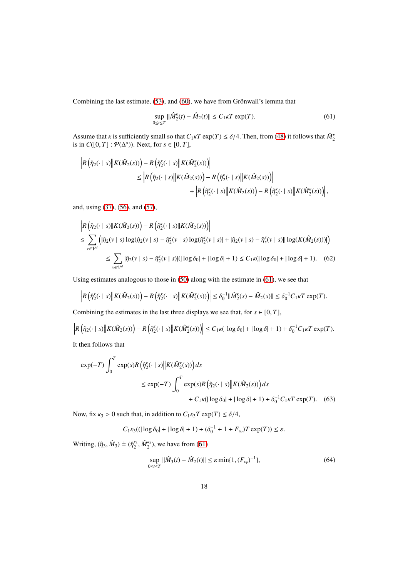Combining the last estimate, [\(53\)](#page-16-1), and [\(60\)](#page-16-2), we have from Grönwall's lemma that

<span id="page-17-2"></span><span id="page-17-0"></span>
$$
\sup_{0 \le t \le T} ||\hat{M}_2^{\kappa}(t) - \hat{M}_2(t)|| \le C_1 \kappa T \exp(T). \tag{61}
$$

Assume that *κ* is sufficiently small so that  $C_1 \kappa T \exp(T) \le \delta/4$ . Then, from [\(48\)](#page-15-6) it follows that  $\hat{M}_{2}^{\kappa}$ is in  $C([0, T] : \mathcal{P}(\Delta^o))$ . Next, for  $s \in [0, T]$ ,

$$
\begin{split} \Big| R\left(\hat{\eta}_2(\cdot \mid s) \Big\| K(\hat{M}_2(s))\right) - R\left(\hat{\eta}_2^{\kappa}(\cdot \mid s) \Big\| K(\hat{M}_2^{\kappa}(s))\right) \\ & \leq \Big| R\left(\hat{\eta}_2(\cdot \mid s) \Big\| K(\hat{M}_2(s))\right) - R\left(\hat{\eta}_2^{\kappa}(\cdot \mid s) \Big\| K(\hat{M}_2(s))\right) \Big| \\ & \qquad \qquad + \Big| R\left(\hat{\eta}_2^{\kappa}(\cdot \mid s) \Big\| K(\hat{M}_2(s))\right) - R\left(\hat{\eta}_2^{\kappa}(\cdot \mid s) \Big\| K(\hat{M}_2^{\kappa}(s))\right) \Big| \,, \end{split}
$$

and, using [\(37\)](#page-13-2), [\(56\)](#page-16-0), and [\(57\)](#page-16-3),

$$
\begin{split} &\left| R\left(\hat{\eta}_{2}(\cdot \mid s) \| K(\hat{M}_{2}(s))\right) - R\left(\hat{\eta}_{2}^{\kappa}(\cdot \mid s) \| K(\hat{M}_{2}(s))\right) \right| \\ &\leq \sum_{v \in \mathcal{V}^{d}} \left( |\hat{\eta}_{2}(v \mid s) \log(\hat{\eta}_{2}(v \mid s) - \hat{\eta}_{2}^{\kappa}(v \mid s) \log(\hat{\eta}_{2}^{\kappa}(v \mid s) | + |\hat{\eta}_{2}(v \mid s) - \hat{\eta}_{s}^{\kappa}(v \mid s) \| \log(K(\hat{M}_{2}(s)))| \right) \\ &\leq \sum_{v \in \mathcal{V}^{d}} |\hat{\eta}_{2}(v \mid s) - \hat{\eta}_{2}^{\kappa}(v \mid s) | (|\log \delta_{0}| + |\log \delta| + 1) \leq C_{1} \kappa (|\log \delta_{0}| + |\log \delta| + 1). \end{split} \tag{62}
$$

Using estimates analogous to those in [\(50\)](#page-15-2) along with the estimate in [\(61\)](#page-17-0), we see that

$$
\left| R\left(\hat{\eta}_2^{\kappa}(\cdot \mid s) \middle\| K(\hat{M}_2(s))\right) - R\left(\hat{\eta}_2^{\kappa}(\cdot \mid s) \middle\| K(\hat{M}_2^{\kappa}(s))\right) \right| \leq \delta_0^{-1} \|\hat{M}_2^{\kappa}(s) - \hat{M}_2(s)\| \leq \delta_0^{-1} C_1 \kappa T \exp(T).
$$

Combining the estimates in the last three displays we see that, for  $s \in [0, T]$ ,

$$
\left| R\left(\hat{\eta}_2(\cdot \mid s) \middle\| K(\hat{M}_2(s))\right) - R\left(\hat{\eta}_2^{\kappa}(\cdot \mid s) \middle\| K(\hat{M}_2^{\kappa}(s))\right) \right| \le C_1 \kappa (\left| \log \delta_0 \right| + \left| \log \delta \right| + 1) + \delta_0^{-1} C_1 \kappa T \exp(T).
$$
\nIt then follows that

It then follows that

$$
\exp(-T) \int_0^T \exp(s) R\left(\hat{\eta}_2^{\kappa}(\cdot \mid s) \middle| K(\hat{M}_2^{\kappa}(s))\right) ds
$$
  

$$
\leq \exp(-T) \int_0^T \exp(s) R\left(\hat{\eta}_2(\cdot \mid s) \middle| K(\hat{M}_2(s))\right) ds
$$
  

$$
+ C_1 \kappa (\vert \log \delta_0 \vert + \vert \log \delta \vert + 1) + \delta_0^{-1} C_1 \kappa T \exp(T). \quad (63)
$$

Now, fix  $\kappa_3 > 0$  such that, in addition to  $C_1 \kappa_3 T \exp(T) \le \delta/4$ ,

$$
C_1 \kappa_3((|\log \delta_0| + |\log \delta| + 1) + (\delta_0^{-1} + 1 + F_{\text{lip}})T \exp(T)) \le \varepsilon.
$$

Writing,  $(\hat{\eta}_3, \hat{M}_3) \doteq (\hat{\eta}_2^{\kappa_3}, \hat{M}_2^{\kappa_3})$ , we have from [\(61\)](#page-17-0)

<span id="page-17-3"></span><span id="page-17-1"></span>
$$
\sup_{0 \le t \le T} ||\hat{M}_3(t) - \hat{M}_2(t)|| \le \varepsilon \min\{1, (F_{\text{lip}})^{-1}\},\tag{64}
$$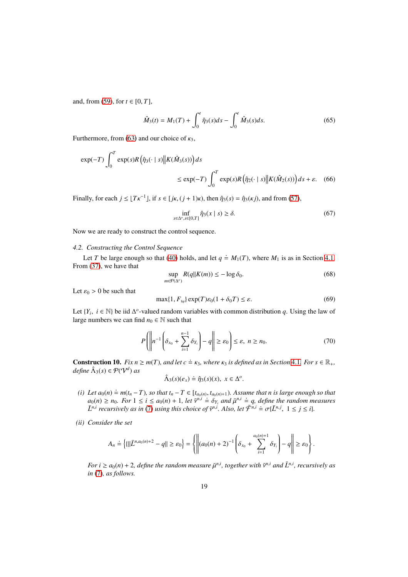and, from [\(59\)](#page-16-4), for *t* ∈ [0, *T*],

<span id="page-18-1"></span>
$$
\hat{M}_3(t) = M_1(T) + \int_0^t \hat{\eta}_3(s)ds - \int_0^t \hat{M}_3(s)ds.
$$
\n(65)

Furthermore, from [\(63\)](#page-17-1) and our choice of  $\kappa_3$ ,

$$
\exp(-T) \int_0^T \exp(s) R(\hat{\eta}_3(\cdot \mid s) \middle\| K(\hat{M}_3(s))) ds
$$
  

$$
\leq \exp(-T) \int_0^T \exp(s) R(\hat{\eta}_2(\cdot \mid s) \middle\| K(\hat{M}_2(s))) ds + \varepsilon. \quad (66)
$$

Finally, for each  $j \leq \lfloor T\kappa^{-1} \rfloor$ , if  $s \in [j\kappa, (j+1)\kappa)$ , then  $\hat{\eta}_3(s) = \hat{\eta}_3(\kappa j)$ , and from [\(57\)](#page-16-3),

<span id="page-18-4"></span>
$$
\inf_{x \in \Delta^o, s \in [0, T]} \hat{\eta}_3(x \mid s) \ge \delta. \tag{67}
$$

Now we are ready to construct the control sequence.

#### *4.2. Constructing the Control Sequence*

Let *T* be large enough so that [\(40\)](#page-14-3) holds, and let  $q \doteq M_1(T)$ , where  $M_1$  is as in Section [4.1.](#page-12-2) From [\(37\)](#page-13-2), we have that

$$
\sup_{m \in \mathcal{P}(\Delta^o)} R(q||K(m)) \le -\log \delta_0. \tag{68}
$$

Let  $\varepsilon_0 > 0$  be such that

<span id="page-18-3"></span><span id="page-18-2"></span>
$$
\max\{1, F_{\text{lip}}\} \exp(T)\varepsilon_0 (1 + \delta_0 T) \le \varepsilon. \tag{69}
$$

Let  $\{Y_i, i \in \mathbb{N}\}\$  be iid  $\Delta^o$ -valued random variables with common distribution *q*. Using the law of large numbers we can find  $n_0 \in \mathbb{N}$  such that

$$
P\left(\left\|n^{-1}\left(\delta_{x_0} + \sum_{i=1}^{n-1} \delta_{Y_i}\right) - q\right\| \ge \varepsilon_0\right) \le \varepsilon, \ n \ge n_0. \tag{70}
$$

<span id="page-18-0"></span>**Construction 10.** *Fix n*  $\geq m(T)$ *, and let c*  $\dot{=}$  *k*<sub>3</sub>*, where k*<sub>3</sub> *is defined as in Section* [4.1](#page-12-2)*. For s*  $\in \mathbb{R}_+$ *,*  $define \ \hat{\Lambda}_3(s) \in \mathcal{P}(\mathcal{V}^d) \ as$ .

$$
\hat{\Lambda}_3(s)(e_x) \doteq \hat{\eta}_3(s)(x), \ x \in \Delta^o.
$$

- $(i)$  Let  $a_0(n)$   $\stackrel{.}{=} m(t_n T)$ *, so that*  $t_n T \in [t_{a_0(n)}, t_{a_0(n)+1})$ *. Assume that n is large enough so that*  $a_0(n) \ge n_0$ . For  $1 \le i \le a_0(n) + 1$ , let  $\bar{v}^{n,i} \doteq \delta_{Y_i}$  and  $\bar{\mu}^{n,i} \doteq q$ , define the random measures  $\bar{L}^{n,i}$  *recursively as in* [\(7\)](#page-5-4) *using this choice of*  $\bar{v}^{n,i}$ . *Also, let*  $\bar{\mathcal{F}}^{n,i} \doteq \sigma\{\bar{L}^{n,j}, 1 \leq j \leq i\}$ .
- *(ii) Consider the set*

$$
A_n \doteq \left\{ \{ \|\bar{L}^{n,a_0(n)+2}-q\| \geq \varepsilon_0 \right\} = \left\{ \left\| (a_0(n)+2)^{-1} \left( \delta_{x_0} + \sum_{i=1}^{a_0(n)+1} \delta_{Y_i} \right) - q \right\| \geq \varepsilon_0 \right\}.
$$

*For i*  $\geq a_0(n) + 2$ , define the random measure  $\bar{\mu}^{n,i}$ , together with  $\bar{v}^{n,i}$  and  $\bar{L}^{n,i}$ , recursively as *in* [\(7\)](#page-5-4)*, as follows.*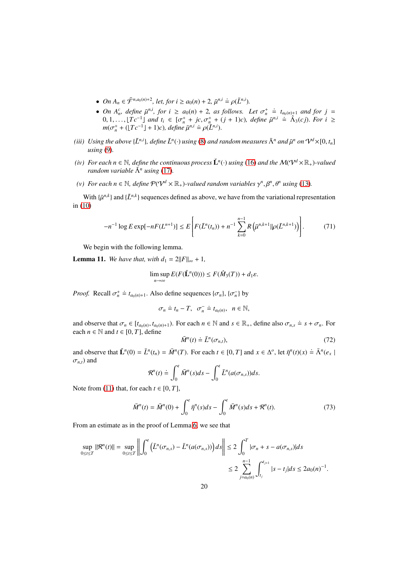- *On*  $A_n \in \bar{\mathcal{F}}^{n,a_0(n)+2}$ , let, for  $i \ge a_0(n) + 2$ ,  $\bar{\mu}^{n,i} \doteq \rho(\bar{L}^{n,i})$ .
- *On*  $A_n^c$ , define  $\bar{\mu}^{n,i}$ , for  $i \ge a_0(n) + 2$ , as follows. Let  $\sigma_n^+ \doteq t_{a_0(n)+1}$  and for  $j =$  $0, 1, \ldots, [Tc^{-1}]$  and  $t_i$  ∈  $[\sigma_n^+ + jc, \sigma_n^+ + (j + 1)c)$ , define  $\bar{\mu}^{n,i} = \hat{\Lambda}_3(cj)$ . For  $i \ge$  $m(\sigma_n^+ + (\lfloor Tc^{-1} \rfloor + 1)c)$ , define  $\bar{\mu}^{n,i} \doteq \rho(\bar{L}^{n,i})$ .
- *(iii)* Using the above { $\bar{L}^{n,i}$ }, define  $\bar{L}^n(\cdot)$  using [\(8\)](#page-5-2) and random measures  $\bar{\Lambda}^n$  and  $\bar{\mu}^n$  on  $\mathcal{V}^d\times [0,t_n]$ *using* [\(9\)](#page-5-3)*.*
- *(iv)* For each  $n \in \mathbb{N}$ , define the continuous process  $\check{L}^n(\cdot)$  using [\(16\)](#page-6-5) and the  $\mathcal{M}(\mathrm{V}^d \times \mathbb{R}_+)$ -valued *random variable*  $\check{\Lambda}^n$  *using* [\(17\)](#page-7-4).
- *(v)* For each  $n \in \mathbb{N}$ , define  $\mathcal{P}(\mathcal{V}^d \times \mathbb{R}_+)$ -valued random variables  $\gamma^n, \beta^n, \theta^n$  using [\(13\)](#page-6-1).

With  $\{\bar{\mu}^{n,k}\}$  and  $\{\bar{L}^{n,k}\}$  sequences defined as above, we have from the variational representation in [\(10\)](#page-6-0)

<span id="page-19-2"></span>
$$
-n^{-1}\log E\exp[-nF(L^{n+1})] \leq E\left[F(\bar{L}^n(t_n)) + n^{-1}\sum_{k=0}^{n-1} R\left(\bar{\mu}^{n,k+1}||\rho(\bar{L}^{n,k+1})\right)\right].
$$
 (71)

We begin with the following lemma.

<span id="page-19-0"></span>**Lemma 11.** *We have that, with*  $d_1 = 2||F||_{\infty} + 1$ *,* 

$$
\limsup_{n\to\infty} E(F(\check{\mathbf{L}}^n(0))) \leq F(\hat{M}_3(T)) + d_1\varepsilon.
$$

*Proof.* Recall  $\sigma_n^+ \doteq t_{a_0(n)+1}$ . Also define sequences  $\{\sigma_n\}$ ,  $\{\sigma_n^-\}$  by

$$
\sigma_n \doteq t_n - T, \ \ \sigma_n^- \doteq t_{a_0(n)}, \ \ n \in \mathbb{N},
$$

and observe that  $\sigma_n \in [t_{a_0(n)}, t_{a_0(n)+1})$ . For each  $n \in \mathbb{N}$  and  $s \in \mathbb{R}_+$ , define also  $\sigma_{n,s} \doteq s + \sigma_n$ . For each  $n \in \mathbb{N}$  and  $t \in [0, T]$ , define

<span id="page-19-1"></span>
$$
\bar{M}^n(t) \doteq \bar{L}^n(\sigma_{n,t}),\tag{72}
$$

and observe that  $\check{L}^n(0) = \bar{L}^n(t_n) = \bar{M}^n(T)$ . For each  $t \in [0, T]$  and  $x \in \Delta^o$ , let  $\bar{\eta}^n(t)(x) = \bar{\Lambda}^n(e_x)$  $\sigma_{n,t}$ ) and

$$
\mathcal{R}^n(t) \doteq \int_0^t \bar{M}^n(s)ds - \int_0^t \bar{L}^n(a(\sigma_{n,s}))ds.
$$

Note from [\(11\)](#page-6-4) that, for each  $t \in [0, T]$ ,

$$
\bar{M}^{n}(t) = \bar{M}^{n}(0) + \int_{0}^{t} \bar{\eta}^{n}(s)ds - \int_{0}^{t} \bar{M}^{n}(s)ds + \mathcal{R}^{n}(t).
$$
 (73)

From an estimate as in the proof of Lemma [6,](#page-7-2) we see that

$$
\sup_{0 \le t \le T} ||\mathcal{R}^n(t)|| = \sup_{0 \le t \le T} \left\| \int_0^t \left( \bar{L}^n(\sigma_{n,s}) - \bar{L}^n(a(\sigma_{n,s})) \right) ds \right\| \le 2 \int_0^T |\sigma_n + s - a(\sigma_{n,s})| ds
$$
  

$$
\le 2 \sum_{j=a_0(n)}^{n-1} \int_{t_j}^{t_{j+1}} |s - t_j| ds \le 2a_0(n)^{-1}.
$$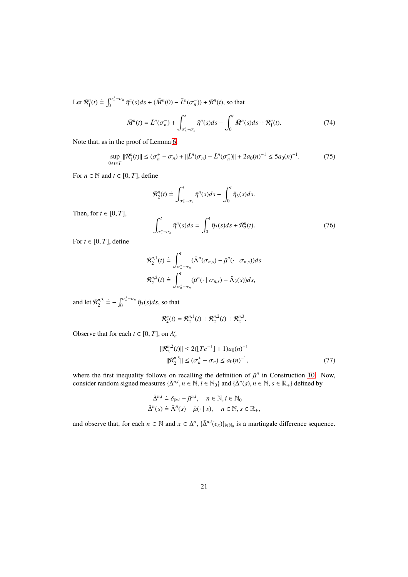Let  $\mathcal{R}_1^n(t) \doteq \int_0^{\sigma_n^+ - \sigma_n}$  $\int_0^{\sigma_n^* - \sigma_n} \bar{\eta}^n(s) ds + (\bar{M}^n(0) - \bar{L}^n(\sigma_n^-)) + \mathcal{R}^n(t)$ , so that

<span id="page-20-3"></span><span id="page-20-1"></span>
$$
\bar{M}^{n}(t) = \bar{L}^{n}(\sigma_{n}^{-}) + \int_{\sigma_{n}^{+}-\sigma_{n}}^{t} \bar{\eta}^{n}(s)ds - \int_{0}^{t} \bar{M}^{n}(s)ds + \mathcal{R}_{1}^{n}(t). \tag{74}
$$

Note that, as in the proof of Lemma [6,](#page-7-2)

$$
\sup_{0 \le t \le T} \|\mathcal{R}_1^n(t)\| \le (\sigma_n^+ - \sigma_n) + \|\bar{L}^n(\sigma_n) - \bar{L}^n(\sigma_n^-)\| + 2a_0(n)^{-1} \le 5a_0(n)^{-1}.\tag{75}
$$

For  $n \in \mathbb{N}$  and  $t \in [0, T]$ , define

<span id="page-20-2"></span>
$$
\mathcal{R}_2^n(t) \doteq \int_{\sigma_n^+ - \sigma_n}^t \overline{\eta}^n(s) ds - \int_0^t \hat{\eta}_3(s) ds.
$$
  

$$
\int_{\sigma_n^+ - \sigma_n}^t \overline{\eta}^n(s) ds = \int_0^t \hat{\eta}_3(s) ds + \mathcal{R}_2^n(t).
$$
 (76)

For  $t \in [0, T]$ , define

Then, for  $t \in [0, T]$ ,

$$
\mathcal{R}_2^{n,1}(t) \doteq \int_{\sigma_n^+ - \sigma_n}^t (\bar{\Lambda}^n(\sigma_{n,s}) - \bar{\mu}^n(\cdot \mid \sigma_{n,s})) ds
$$
  

$$
\mathcal{R}_2^{n,2}(t) \doteq \int_{\sigma_n^+ - \sigma_n}^t (\bar{\mu}^n(\cdot \mid \sigma_{n,s}) - \hat{\Lambda}_3(s)) ds,
$$

and let  $\mathcal{R}_2^{n,3}$  $\dot{=}-\int_0^{\sigma_n^+-\sigma_n}$  $\int_0^{\infty} \int_0^{\infty} \hat{\eta}_3(s) ds$ , so that

$$
\mathcal{R}_2^n(t) = \mathcal{R}_2^{n,1}(t) + \mathcal{R}_2^{n,2}(t) + \mathcal{R}_2^{n,3}.
$$

Observe that for each  $t \in [0, T]$ , on  $A_n^c$ 

<span id="page-20-0"></span>
$$
\begin{aligned} ||\mathcal{R}_2^{n,2}(t)|| &\le 2(\lfloor T c^{-1} \rfloor + 1)a_0(n)^{-1} \\ ||\mathcal{R}_2^{n,3}|| &\le (\sigma_n^+ - \sigma_n) \le a_0(n)^{-1}, \end{aligned} \tag{77}
$$

where the first inequality follows on recalling the definition of  $\bar{\mu}^n$  in Construction [10.](#page-18-0) Now, consider random signed measures  $\{\bar{\Delta}^{n,i}, n \in \mathbb{N}, i \in \mathbb{N}_0\}$  and  $\{\bar{\Delta}^n(s), n \in \mathbb{N}, s \in \mathbb{R}_+\}$  defined by

$$
\bar{\Delta}^{n,i} \doteq \delta_{\bar{v}^{n,i}} - \bar{\mu}^{n,i}, \quad n \in \mathbb{N}, i \in \mathbb{N}_0
$$
  

$$
\bar{\Delta}^n(s) \doteq \bar{\Lambda}^n(s) - \bar{\mu}(\cdot \mid s), \quad n \in \mathbb{N}, s \in \mathbb{R}_+,
$$

and observe that, for each  $n \in \mathbb{N}$  and  $x \in \Delta^o$ ,  $\{\overline{\Delta}^{n,i}(e_x)\}_{i \in \mathbb{N}_0}$  is a martingale difference sequence.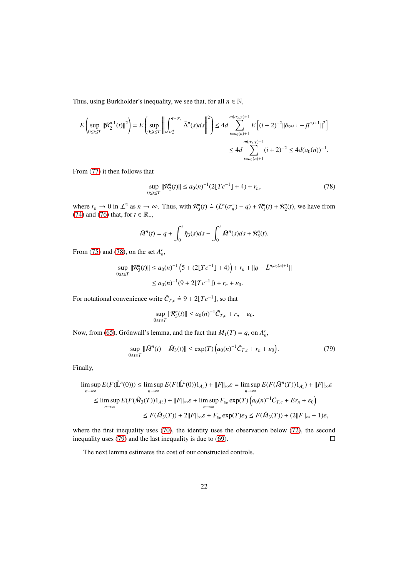Thus, using Burkholder's inequality, we see that, for all  $n \in \mathbb{N}$ ,

$$
E\left(\sup_{0\leq t\leq T}||\mathcal{R}_{2}^{n,1}(t)||^{2}\right) = E\left(\sup_{0\leq t\leq T}\left|\left|\int_{\sigma_{n}^{+}}^{\sigma_{t}^{+}\sigma_{n}}\bar{\Delta}^{n}(s)ds\right|\right|^{2}\right) \leq 4d\sum_{i=a_{0}(n)+1}^{m(\sigma_{n,T})+1}E\left[(i+2)^{-2}||\delta_{\tilde{\mathcal{V}}^{n,i+1}}-\bar{\mu}^{n,i+1}||^{2}\right]
$$

$$
\leq 4d\sum_{i=a_{0}(n)+1}^{m(\sigma_{n,T})+1}(i+2)^{-2} \leq 4d(a_{0}(n))^{-1}.
$$

From [\(77\)](#page-20-0) it then follows that

<span id="page-21-0"></span>
$$
\sup_{0 \le t \le T} \|\mathcal{R}_2^n(t)\| \le a_0(n)^{-1} (2\lfloor T c^{-1} \rfloor + 4) + r_n,\tag{78}
$$

where  $r_n \to 0$  in  $\mathcal{L}^2$  as  $n \to \infty$ . Thus, with  $\mathcal{R}_3^n(t) \doteq (\bar{L}^n(\sigma_n^-) - q) + \mathcal{R}_1^n(t) + \mathcal{R}_2^n(t)$ , we have from [\(74\)](#page-20-1) and [\(76\)](#page-20-2) that, for  $t \in \mathbb{R}_+$ ,

$$
\bar{M}^{n}(t) = q + \int_{0}^{t} \hat{\eta}_{3}(s)ds - \int_{0}^{t} \bar{M}^{n}(s)ds + \mathcal{R}_{3}^{n}(t).
$$

From [\(75\)](#page-20-3) and [\(78\)](#page-21-0), on the set  $A_n^c$ ,

$$
\sup_{0 \le t \le T} \|\mathcal{R}_3^n(t)\| \le a_0(n)^{-1} \left( 5 + (2\lfloor T c^{-1} \rfloor + 4) \right) + r_n + \|q - \bar{L}^{n, a_0(n) + 1}\|
$$
  

$$
\le a_0(n)^{-1} (9 + 2\lfloor T c^{-1} \rfloor) + r_n + \varepsilon_0.
$$

For notational convenience write  $\tilde{C}_{T,c} \doteq 9 + 2 \lfloor T c^{-1} \rfloor$ , so that

<span id="page-21-1"></span>
$$
\sup_{0\leq t\leq T} \|\mathcal{R}_3^n(t)\| \leq a_0(n)^{-1}\tilde{C}_{T,c} + r_n + \varepsilon_0.
$$

Now, from [\(65\)](#page-18-1), Grönwall's lemma, and the fact that  $M_1(T) = q$ , on  $A_n^c$ ,

$$
\sup_{0 \le t \le T} \|\bar{M}^n(t) - \hat{M}_3(t)\| \le \exp(T) \left( a_0(n)^{-1} \tilde{C}_{T,c} + r_n + \varepsilon_0 \right). \tag{79}
$$

Finally,

$$
\limsup_{n \to \infty} E(F(\tilde{\mathbf{L}}^n(0))) \leq \limsup_{n \to \infty} E(F(\tilde{\mathbf{L}}^n(0))1_{A_n^c}) + ||F||_{\infty} \varepsilon = \limsup_{n \to \infty} E(F(M^n(T))1_{A_n^c}) + ||F||_{\infty} \varepsilon
$$
\n
$$
\leq \limsup_{n \to \infty} E(F(\hat{M}_3(T))1_{A_n^c}) + ||F||_{\infty} \varepsilon + \limsup_{n \to \infty} F_{\text{lip}} \exp(T) \left( a_0(n)^{-1} \tilde{C}_{T,c} + E r_n + \varepsilon_0 \right)
$$
\n
$$
\leq F(\hat{M}_3(T)) + 2||F||_{\infty} \varepsilon + F_{\text{lip}} \exp(T) \varepsilon_0 \leq F(\hat{M}_3(T)) + (2||F||_{\infty} + 1)\varepsilon,
$$

where the first inequality uses [\(70\)](#page-18-2), the identity uses the observation below [\(72\)](#page-19-1), the second inequality uses [\(79\)](#page-21-1) and the last inequality is due to [\(69\)](#page-18-3).  $\Box$ 

The next lemma estimates the cost of our constructed controls.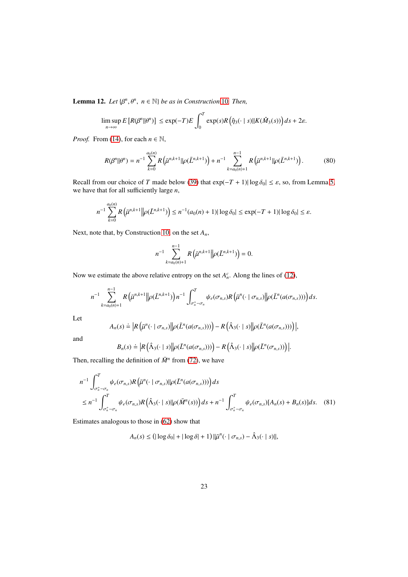<span id="page-22-0"></span>**Lemma 12.** Let  $\{\beta^n, \theta^n, n \in \mathbb{N}\}\$  be as in Construction [10](#page-18-0). Then,

$$
\limsup_{n\to\infty} E\left[R(\beta^n||\theta^n)\right] \leq \exp(-T)E\int_0^T \exp(s)R\left(\hat{\eta}_3(\cdot \mid s)\|K(\hat{M}_3(s))\right)ds + 2\varepsilon.
$$

*Proof.* From [\(14\)](#page-6-3), for each  $n \in \mathbb{N}$ ,

<span id="page-22-1"></span>
$$
R(\beta^n || \theta^n) = n^{-1} \sum_{k=0}^{a_0(n)} R\left(\bar{\mu}^{n,k+1} || \rho(\bar{L}^{n,k+1})\right) + n^{-1} \sum_{k=a_0(n)+1}^{n-1} R\left(\bar{\mu}^{n,k+1} || \rho(\bar{L}^{n,k+1})\right).
$$
 (80)

Recall from our choice of *T* made below [\(39\)](#page-13-0) that  $\exp(-T + 1) |\log \delta_0| \leq \varepsilon$ , so, from Lemma [5,](#page-7-1) we have that for all sufficiently large *n*,

$$
n^{-1} \sum_{k=0}^{a_0(n)} R\left(\bar{\mu}^{n,k+1} \middle\| \rho(\bar{L}^{n,k+1})\right) \le n^{-1} (a_0(n) + 1) |\log \delta_0| \le \exp(-T + 1) |\log \delta_0| \le \varepsilon.
$$

Next, note that, by Construction [10,](#page-18-0) on the set *An*,

$$
n^{-1} \sum_{k=a_0(n)+1}^{n-1} R\left(\bar{\mu}^{n,k+1} \middle| \rho(\bar{L}^{n,k+1})\right) = 0.
$$

Now we estimate the above relative entropy on the set  $A_n^c$ . Along the lines of [\(12\)](#page-6-2),

$$
n^{-1} \sum_{k=a_0(n)+1}^{n-1} R\left(\bar{\mu}^{n,k+1} \middle| \rho(\bar{L}^{n,k+1})\right) n^{-1} \int_{\sigma_n^+ - \sigma_n}^T \psi_e(\sigma_{n,s}) R\left(\bar{\mu}^n(\cdot \mid \sigma_{n,s}) \middle| \rho(\bar{L}^n(a(\sigma_{n,s})))\right) ds.
$$

Let

$$
A_n(s) \doteq \left| R\left(\bar{\mu}^n(\cdot \mid \sigma_{n,s}) \middle\| \rho(\bar{L}^n(a(\sigma_{n,s})))\right) - R\left(\hat{\Lambda}_3(\cdot \mid s) \middle\| \rho(\bar{L}^n(a(\sigma_{n,s})))\right) \right|,
$$

and

$$
B_n(s) \doteq \left| R\left(\hat{\Lambda}_3(\cdot \mid s) \middle\| \rho(\bar{L}^n(a(\sigma_{n,s})))\right) - R\left(\hat{\Lambda}_3(\cdot \mid s) \middle\| \rho(\bar{L}^n(\sigma_{n,s}))\right) \right|.
$$

Then, recalling the definition of  $\bar{M}^n$  from [\(72\)](#page-19-1), we have

$$
n^{-1} \int_{\sigma_n^+ - \sigma_n}^T \psi_e(\sigma_{n,s}) R\left(\bar{\mu}^n(\cdot \mid \sigma_{n,s}) \|\rho(\bar{L}^n(a(\sigma_{n,s})))\right) ds
$$
  

$$
\leq n^{-1} \int_{\sigma_n^+ - \sigma_n}^T \psi_e(\sigma_{n,s}) R\left(\hat{\Lambda}_3(\cdot \mid s) \|\rho(\bar{M}^n(s))\right) ds + n^{-1} \int_{\sigma_n^+ - \sigma_n}^T \psi_e(\sigma_{n,s}) [A_n(s) + B_n(s)] ds. \quad (81)
$$

Estimates analogous to those in [\(62\)](#page-17-2) show that

$$
A_n(s) \leq (|\log \delta_0| + |\log \delta| + 1) ||\bar{\mu}^n(\cdot | \sigma_{n,s}) - \hat{\Lambda}_3(\cdot | s)||,
$$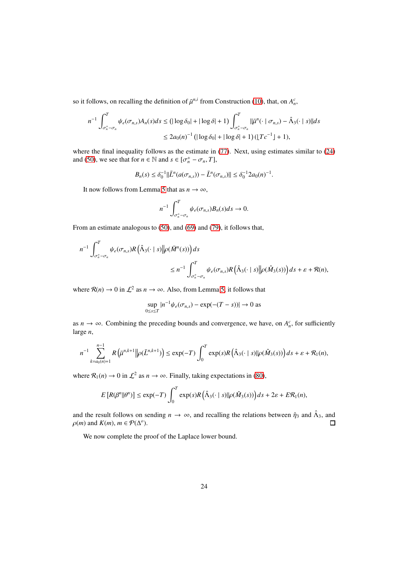so it follows, on recalling the definition of  $\bar{\mu}^{n,i}$  from Construction [\(10\)](#page-18-0), that, on  $A_n^c$ ,

$$
n^{-1} \int_{\sigma_n^+ - \sigma_n}^T \psi_e(\sigma_{n,s}) A_n(s) ds \le (|\log \delta_0| + |\log \delta| + 1) \int_{\sigma_n^+ - \sigma_n}^T ||\bar{\mu}^n(\cdot \mid \sigma_{n,s}) - \hat{\Lambda}_3(\cdot \mid s)|| ds
$$
  

$$
\le 2a_0(n)^{-1} (|\log \delta_0| + |\log \delta| + 1) (|Tc^{-1}| + 1),
$$

where the final inequality follows as the estimate in [\(77\)](#page-20-0). Next, using estimates similar to [\(24\)](#page-9-2) and [\(50\)](#page-15-2), we see that for  $n \in \mathbb{N}$  and  $s \in [\sigma_n^+ - \sigma_n, T]$ ,

$$
B_n(s) \le \delta_0^{-1} \|\bar{L}^n(a(\sigma_{n,s})) - \bar{L}^n(\sigma_{n,s})\| \le \delta_0^{-1} 2a_0(n)^{-1}.
$$

It now follows from Lemma [5](#page-7-1) that as  $n \to \infty$ ,

$$
n^{-1} \int_{\sigma_n^+ - \sigma_n}^T \psi_e(\sigma_{n,s}) B_n(s) ds \to 0.
$$

From an estimate analogous to [\(50\)](#page-15-2), and [\(69\)](#page-18-3) and [\(79\)](#page-21-1), it follows that,

$$
n^{-1} \int_{\sigma_n^+ - \sigma_n}^T \psi_e(\sigma_{n,s}) R\left(\hat{\Lambda}_3(\cdot \mid s) \middle\| \rho(\bar{M}^n(s))\right) ds
$$
  

$$
\leq n^{-1} \int_{\sigma_n^+ - \sigma_n}^T \psi_e(\sigma_{n,s}) R\left(\hat{\Lambda}_3(\cdot \mid s) \middle\| \rho(\hat{M}_3(s))\right) ds + \varepsilon + R(n),
$$

where  $\mathcal{R}(n) \to 0$  in  $\mathcal{L}^2$  as  $n \to \infty$ . Also, from Lemma [5,](#page-7-1) it follows that

$$
\sup_{0\leq s\leq T} |n^{-1}\psi_e(\sigma_{n,s}) - \exp(-(T-s))| \to 0 \text{ as}
$$

as  $n \to \infty$ . Combining the preceding bounds and convergence, we have, on  $A_n^c$ , for sufficiently large *n*,

$$
n^{-1} \sum_{k=a_0(n)+1}^{n-1} R\left(\bar{\mu}^{n,k+1} \middle\| \rho(\bar{L}^{n,k+1})\right) \le \exp(-T) \int_0^T \exp(s) R\left(\hat{\Lambda}_3(\cdot \mid s) \middle\| \rho(\hat{M}_3(s))\right) ds + \varepsilon + \mathcal{R}_1(n),
$$

where  $\mathcal{R}_1(n) \to 0$  in  $\mathcal{L}^2$  as  $n \to \infty$ . Finally, taking expectations in [\(80\)](#page-22-1),

$$
E\left[R(\beta^n||\theta^n)\right] \leq \exp(-T)\int_0^T \exp(s)R\left(\hat{\Lambda}_3(\cdot \mid s)\|\rho(\hat{M}_3(s))\right)ds + 2\varepsilon + E\mathcal{R}_1(n),
$$

and the result follows on sending  $n \to \infty$ , and recalling the relations between  $\hat{\eta}_3$  and  $\hat{\Lambda}_3$ , and  $\rho(m)$  and  $K(m)$ ,  $m \in \mathcal{P}(\Delta^o)$ .  $\Box$ 

We now complete the proof of the Laplace lower bound.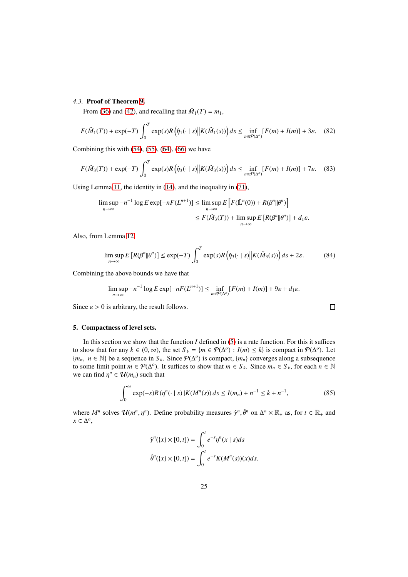# <span id="page-24-1"></span>*4.3.* Proof of Theorem [9.](#page-12-0)

From [\(36\)](#page-13-3) and [\(42\)](#page-14-4), and recalling that  $\hat{M}_1(T) = m_1$ ,

$$
F(\hat{M}_1(T)) + \exp(-T) \int_0^T \exp(s) R(\hat{\eta}_1(\cdot \mid s) \| K(\hat{M}_1(s)) \, ds \le \inf_{m \in \mathcal{P}(\Delta^o)} [F(m) + I(m)] + 3\varepsilon. \tag{82}
$$

Combining this with  $(54)$ ,  $(55)$ ,  $(64)$ ,  $(66)$  we have

$$
F(\hat{M}_3(T)) + \exp(-T) \int_0^T \exp(s) R(\hat{\eta}_3(\cdot \mid s) \| K(\hat{M}_3(s)) \, ds \le \inf_{m \in \mathcal{P}(\Delta^o)} [F(m) + I(m)] + 7\varepsilon. \tag{83}
$$

Using Lemma [11,](#page-19-0) the identity in [\(14\)](#page-6-3), and the inequality in [\(71\)](#page-19-2),

$$
\limsup_{n \to \infty} -n^{-1} \log E \exp[-nF(L^{n+1})] \le \limsup_{n \to \infty} E\left[F(\check{L}^n(0)) + R(\beta^n || \theta^n)\right]
$$
  

$$
\le F(\hat{M}_3(T)) + \limsup_{n \to \infty} E\left[R(\beta^n || \theta^n)\right] + d_1 \varepsilon.
$$

Also, from Lemma [12,](#page-22-0)

$$
\limsup_{n \to \infty} E\left[R(\beta^n || \theta^n)\right] \le \exp(-T) \int_0^T \exp(s) R\left(\check{\eta}_3(\cdot \mid s) \middle\| K(\check{M}_3(s))\right) ds + 2\varepsilon. \tag{84}
$$

Combining the above bounds we have that

$$
\limsup_{n\to\infty}-n^{-1}\log E\exp[-nF(L^{n+1})]\leq \inf_{m\in\mathcal{P}(\Delta^o)}[F(m)+I(m)]+9\varepsilon+d_1\varepsilon.
$$

Since  $\varepsilon > 0$  is arbitrary, the result follows.

# <span id="page-24-0"></span>5. Compactness of level sets.

In this section we show that the function  $I$  defined in  $(5)$  is a rate function. For this it suffices to show that for any  $k \in (0, \infty)$ , the set  $S_k = \{m \in \mathcal{P}(\Delta^o) : I(m) \leq k\}$  is compact in  $\mathcal{P}(\Delta^o)$ . Let { $m_n$ ,  $n \in \mathbb{N}$ } be a sequence in  $S_k$ . Since  $\mathcal{P}(\Delta^o)$  is compact, { $m_n$ } converges along a subsequence to some limit point  $m \in \mathcal{P}(\Delta^o)$ . It suffices to show that  $m \in S_k$ . Since  $m_n \in S_k$ , for each  $n \in \mathbb{N}$ we can find  $\eta^n \in \mathcal{U}(m_n)$  such that

<span id="page-24-2"></span>
$$
\int_0^\infty \exp(-s) R(\eta^n(\cdot \mid s) || K(M^n(s)) ds \le I(m_n) + n^{-1} \le k + n^{-1},
$$
\n(85)

 $\Box$ 

where  $M^n$  solves  $\mathcal{U}(m^n, \eta^n)$ . Define probability measures  $\hat{\gamma}^n$ ,  $\hat{\theta}^n$  on  $\Delta^o \times \mathbb{R}_+$  as, for  $t \in \mathbb{R}_+$  and  $x \in \Delta^o$ ,

$$
\hat{\gamma}^n(\lbrace x \rbrace \times [0, t]) = \int_0^t e^{-s} \eta^n(x \mid s) ds
$$

$$
\hat{\theta}^n(\lbrace x \rbrace \times [0, t]) = \int_0^t e^{-s} K(M^n(s))(x) ds.
$$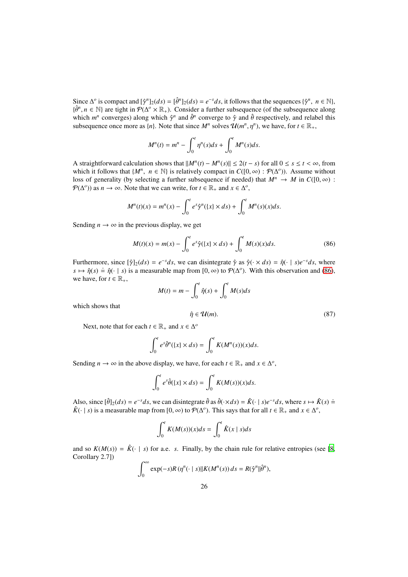Since  $\Delta^o$  is compact and  $[\hat{\gamma}^n]_2(ds) = [\hat{\theta}^n]_2(ds) = e^{-s}ds$ , it follows that the sequences  $\{\hat{\gamma}^n, n \in \mathbb{N}\}\$ ,  $\{\hat{\theta}^n, n \in \mathbb{N}\}$  are tight in  $\mathcal{P}(\Delta^o \times \mathbb{R}_+)$ . Consider a further subsequence (of the subsequence along which  $m^n$  converges) along which  $\hat{\gamma}^n$  and  $\hat{\theta}^n$  converge to  $\hat{\gamma}$  and  $\hat{\theta}$  respectively, and relabel this subsequence once more as  $\{n\}$ . Note that since  $M^n$  solves  $\mathcal{U}(m^n, \eta^n)$ , we have, for  $t \in \mathbb{R}_+$ ,

$$
M^n(t) = m^n - \int_0^t \eta^n(s)ds + \int_0^t M^n(s)ds.
$$

A straightforward calculation shows that  $||M^n(t) - M^n(s)|| \le 2(t - s)$  for all  $0 \le s \le t < \infty$ , from which it follows that  $\{M^n, n \in \mathbb{N}\}\$ is relatively compact in  $C([0,\infty): \mathcal{P}(\Delta^o)$ . Assume without loss of generality (by selecting a further subsequence if needed) that  $M^n \to M$  in  $C([0,\infty))$ :  $\mathcal{P}(\Delta^o)$  as  $n \to \infty$ . Note that we can write, for  $t \in \mathbb{R}_+$  and  $x \in \Delta^o$ ,

$$
M^{n}(t)(x) = m^{n}(x) - \int_{0}^{t} e^{s} \hat{\gamma}^{n}(\lbrace x \rbrace \times ds) + \int_{0}^{t} M^{n}(s)(x) ds.
$$

Sending  $n \to \infty$  in the previous display, we get

<span id="page-25-0"></span>
$$
M(t)(x) = m(x) - \int_0^t e^s \hat{\gamma}(\{x\} \times ds) + \int_0^t M(s)(x)ds.
$$
 (86)

Furthermore, since  $[\hat{\gamma}]_2(ds) = e^{-s}ds$ , we can disintegrate  $\hat{\gamma}$  as  $\hat{\gamma}(\cdot \times ds) = \hat{\eta}(\cdot \mid s)e^{-s}ds$ , where  $s \mapsto \hat{\eta}(s) = \hat{\eta}(\cdot \mid s)$  is a measurable map from  $[0, \infty)$  to  $\mathcal{P}(\Delta^o)$ . With this observation and [\(86\)](#page-25-0), we have, for  $t \in \mathbb{R}_+$ ,

$$
M(t) = m - \int_0^t \hat{\eta}(s) + \int_0^t M(s)ds
$$

which shows that

<span id="page-25-1"></span> $\hat{\eta} \in \mathcal{U}(m).$  (87) Next, note that for each  $t \in \mathbb{R}_+$  and  $x \in \Delta^o$ 

$$
\int_0^t e^s \hat{\theta}^n(\{x\} \times ds) = \int_0^t K(M^n(s))(x) ds.
$$

Sending  $n \to \infty$  in the above display, we have, for each  $t \in \mathbb{R}_+$  and  $x \in \Delta^o$ ,

$$
\int_0^t e^s \hat{\theta}(\{x\} \times ds) = \int_0^t K(M(s))(x) ds.
$$

Also, since  $[\hat{\theta}]_2(ds) = e^{-s}ds$ , we can disintegrate  $\hat{\theta}$  as  $\hat{\theta}(\cdot \times ds) = \hat{K}(\cdot \mid s)e^{-s}ds$ , where  $s \mapsto \hat{K}(s) =$  $\hat{K}(\cdot \mid s)$  is a measurable map from [0,  $\infty$ ) to  $\mathcal{P}(\Delta^o)$ . This says that for all  $t \in \mathbb{R}_+$  and  $x \in \Delta^o$ ,

$$
\int_0^t K(M(s))(x)ds = \int_0^t \hat{K}(x \mid s)ds
$$

and so  $K(M(s)) = \hat{K}(\cdot | s)$  for a.e. *s*. Finally, by the chain rule for relative entropies (see [\[8](#page-26-8), Corollary 2.7])

$$
\int_0^\infty \exp(-s)R(\eta^n(\cdot \mid s)\|K(M^n(s))\,ds = R(\hat{\gamma}^n \|\hat{\theta}^n),
$$